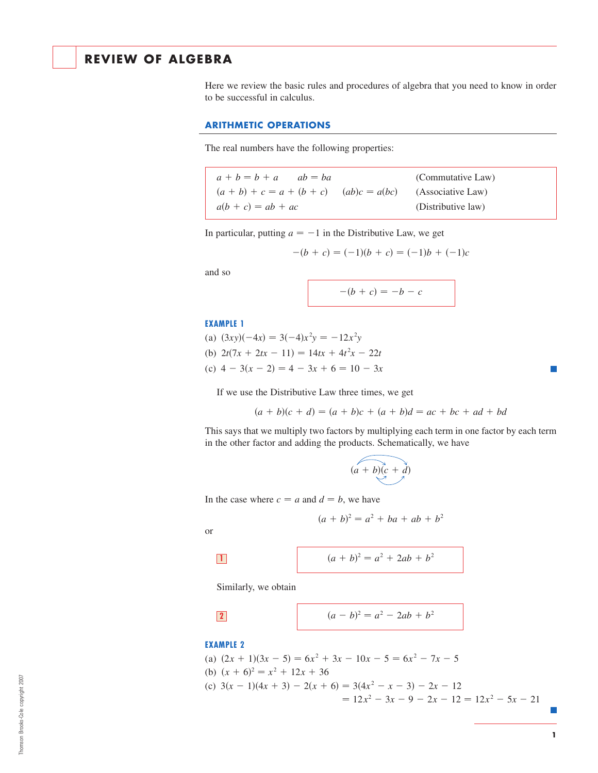# **REVIEW OF ALGEBRA**

Here we review the basic rules and procedures of algebra that you need to know in order to be successful in calculus.

## **ARITHMETIC OPERATIONS**

The real numbers have the following properties:

| $a + b = b + a$ $ab = ba$                                     |  | (Commutative Law)  |
|---------------------------------------------------------------|--|--------------------|
| $(a + b) + c = a + (b + c)$ $(ab)c = a(bc)$ (Associative Law) |  |                    |
| $a(b + c) = ab + ac$                                          |  | (Distributive law) |

In particular, putting  $a = -1$  in the Distributive Law, we get

$$
-(b + c) = (-1)(b + c) = (-1)b + (-1)c
$$

and so

$$
-(b + c) = -b - c
$$

#### **EXAMPLE 1**

(a)  $(3xy)(-4x) = 3(-4)x^2y = -12x^2y$ (b)  $2t(7x + 2tx - 11) = 14tx + 4t^2x - 22t$ (c)  $4 - 3(x - 2) = 4 - 3x + 6 = 10 - 3x$ 

If we use the Distributive Law three times, we get

$$
(a + b)(c + d) = (a + b)c + (a + b)d = ac + bc + ad + bd
$$

This says that we multiply two factors by multiplying each term in one factor by each term in the other factor and adding the products. Schematically, we have

$$
(a+b)(c+d)
$$

In the case where  $c = a$  and  $d = b$ , we have

$$
(a + b)^2 = a^2 + ba + ab + b^2
$$

or

$$
\mathcal{L}^{\text{max}}_{\text{max}}
$$

$$
(a + b)^2 = a^2 + 2ab + b^2
$$

Similarly, we obtain

$$
\boxed{\phantom{2}}
$$

$$
(a - b)^2 = a^2 - 2ab + b^2
$$

## **EXAMPLE 2**

(a)  $(2x + 1)(3x - 5) = 6x^2 + 3x - 10x - 5 = 6x^2 - 7x - 5$ (b)  $(x + 6)^2 = x^2 + 12x + 36$ (c)  $3(x - 1)(4x + 3) - 2(x + 6) = 3(4x^2 - x - 3) - 2x - 12$  $= 12x^2 - 3x - 9 - 2x - 12 = 12x^2 - 5x - 21$ 

Г.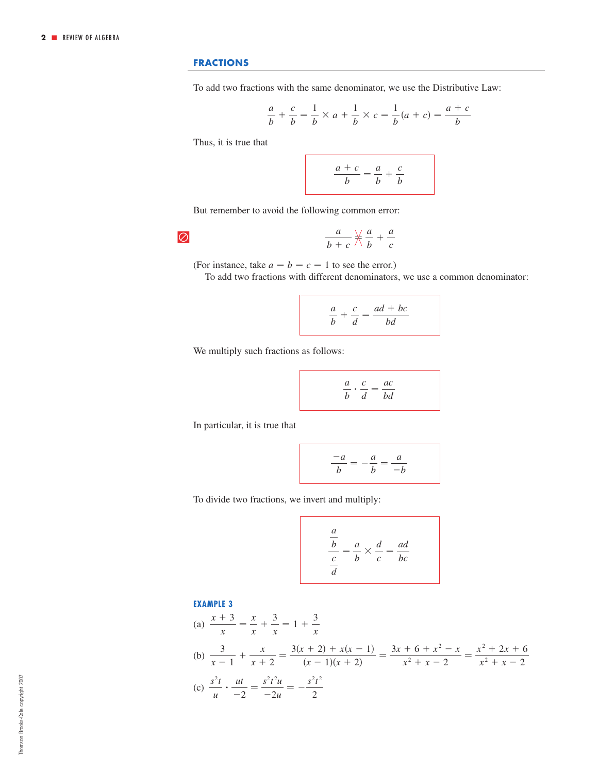## **FRACTIONS**

To add two fractions with the same denominator, we use the Distributive Law:

$$
\frac{a}{b} + \frac{c}{b} = \frac{1}{b} \times a + \frac{1}{b} \times c = \frac{1}{b}(a + c) = \frac{a + c}{b}
$$

Thus, it is true that

 $\overline{\varnothing}$ 

$$
\frac{a+c}{b} = \frac{a}{b} + \frac{c}{b}
$$

But remember to avoid the following common error:

$$
\frac{a}{b+c}\nrightarrows\frac{a}{b}+\frac{a}{c}
$$

(For instance, take  $a = b = c = 1$  to see the error.)

To add two fractions with different denominators, we use a common denominator:

$$
\frac{a}{b} + \frac{c}{d} = \frac{ad + bc}{bd}
$$

We multiply such fractions as follows:

$$
\frac{a}{b} \cdot \frac{c}{d} = \frac{ac}{bd}
$$

In particular, it is true that

$$
\frac{-a}{b} = -\frac{a}{b} = \frac{a}{-b}
$$

To divide two fractions, we invert and multiply:

$$
\frac{\frac{a}{b}}{\frac{c}{d}} = \frac{a}{b} \times \frac{d}{c} = \frac{ad}{bc}
$$

### **EXAMPLE 3**

(a) 
$$
\frac{x+3}{x} = \frac{x}{x} + \frac{3}{x} = 1 + \frac{3}{x}
$$
  
\n(b) 
$$
\frac{3}{x-1} + \frac{x}{x+2} = \frac{3(x+2) + x(x-1)}{(x-1)(x+2)} = \frac{3x+6+x^2-x}{x^2+x-2} = \frac{x^2+2x+6}{x^2+x-2}
$$
  
\n(c) 
$$
\frac{s^2t}{u} \cdot \frac{ut}{-2} = \frac{s^2t^2u}{-2u} = -\frac{s^2t^2}{2}
$$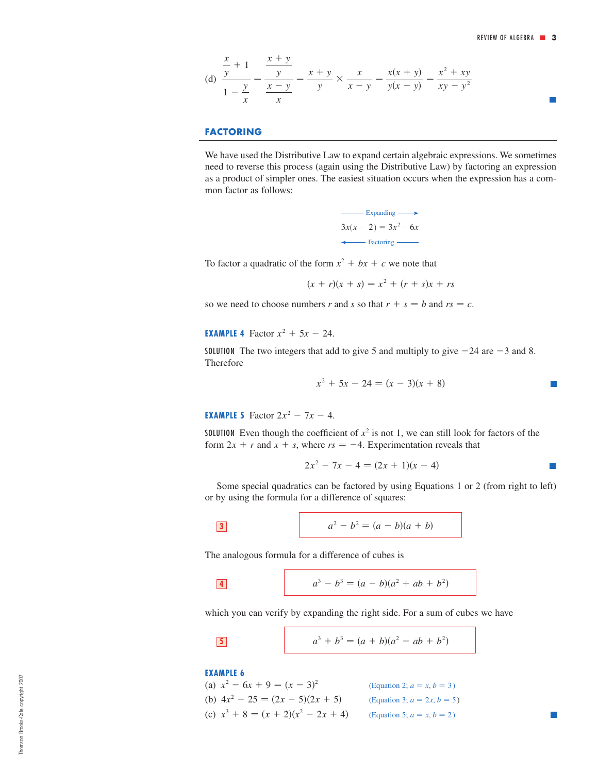(d) 
$$
\frac{\frac{x}{y} + 1}{1 - \frac{y}{x}} = \frac{\frac{x + y}{y}}{\frac{x - y}{x}} = \frac{x + y}{y} \times \frac{x}{x - y} = \frac{x(x + y)}{y(x - y)} = \frac{x^2 + xy}{xy - y^2}
$$

## **FACTORING**

We have used the Distributive Law to expand certain algebraic expressions. We sometimes need to reverse this process (again using the Distributive Law) by factoring an expression as a product of simpler ones. The easiest situation occurs when the expression has a common factor as follows:

> $3x(x-2)=3x^2-6x$ Expanding  $\longrightarrow$ ← Factoring ←

To factor a quadratic of the form  $x^2 + bx + c$  we note that

 $(x + r)(x + s) = x^2 + (r + s)x + rs$ 

so we need to choose numbers r and s so that  $r + s = b$  and  $rs = c$ .

**EXAMPLE 4** Factor  $x^2 + 5x - 24$ .

SOLUTION The two integers that add to give 5 and multiply to give  $-24$  are  $-3$  and 8. Therefore

$$
x^2 + 5x - 24 = (x - 3)(x + 8)
$$

**EXAMPLE 5** Factor  $2x^2 - 7x - 4$ .

**SOLUTION** Even though the coefficient of  $x^2$  is not 1, we can still look for factors of the form  $2x + r$  and  $x + s$ , where  $rs = -4$ . Experimentation reveals that

$$
2x^2 - 7x - 4 = (2x + 1)(x - 4)
$$

 $\overline{\phantom{a}}$ 

Some special quadratics can be factored by using Equations 1 or 2 (from right to left) or by using the formula for a difference of squares:

3 
$$
a^2-b^2 = (a-b)(a+b)
$$

The analogous formula for a difference of cubes is

$$
a^3 - b^3 = (a - b)(a^2 + ab + b^2)
$$

which you can verify by expanding the right side. For a sum of cubes we have

$$
a^3 + b^3 = (a + b)(a^2 - ab + b^2)
$$

**EXAMPLE 6**

(a) 
$$
x^2 - 6x + 9 = (x - 3)^2
$$
  
\n(b)  $4x^2 - 25 = (2x - 5)(2x + 5)$   
\n(c)  $x^3 + 8 = (x + 2)(x^2 - 2x + 4)$   
\n(Equation 3;  $a = 2x, b = 5$ )  
\n(Equation 5;  $a = x, b = 2$ )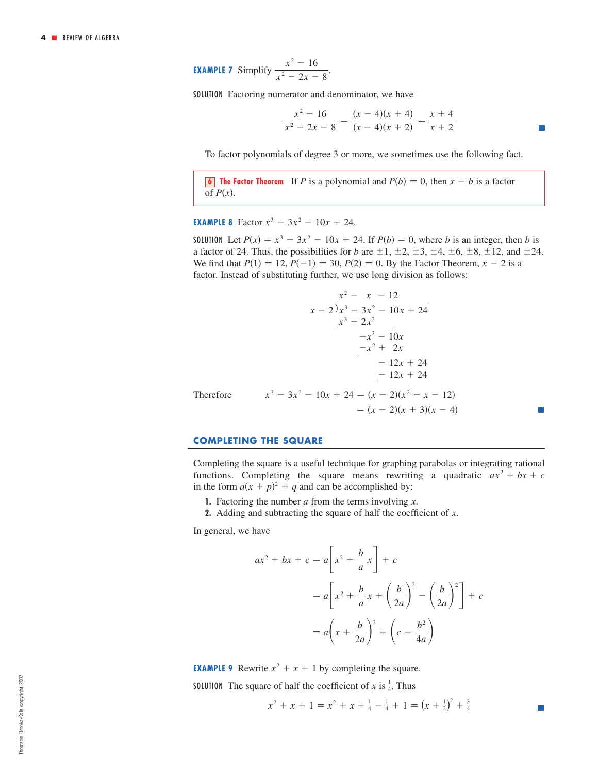**EXAMPLE 7** Simplify 
$$
\frac{x^2 - 16}{x^2 - 2x - 8}.
$$

SOLUTION Factoring numerator and denominator, we have

$$
\frac{x^2 - 16}{x^2 - 2x - 8} = \frac{(x - 4)(x + 4)}{(x - 4)(x + 2)} = \frac{x + 4}{x + 2}
$$

To factor polynomials of degree 3 or more, we sometimes use the following fact.

**6 The Factor Theorem** If P is a polynomial and  $P(b) = 0$ , then  $x - b$  is a factor of  $P(x)$ .

**EXAMPLE 8** Factor  $x^3 - 3x^2 - 10x + 24$ .

**SOLUTION** Let  $P(x) = x^3 - 3x^2 - 10x + 24$ . If  $P(b) = 0$ , where *b* is an integer, then *b* is a factor of 24. Thus, the possibilities for *b* are  $\pm 1$ ,  $\pm 2$ ,  $\pm 3$ ,  $\pm 4$ ,  $\pm 6$ ,  $\pm 8$ ,  $\pm 12$ , and  $\pm 24$ . We find that  $P(1) = 12$ ,  $P(-1) = 30$ ,  $P(2) = 0$ . By the Factor Theorem,  $x - 2$  is a factor. Instead of substituting further, we use long division as follows:

$$
\begin{array}{r}\nx^2 - x - 12 \\
x - 2 \overline{\smash{\big)}\ x^3 - 3x^2 - 10x + 24} \\
\underline{x^3 - 2x^2} \\
-x^2 - 10x \\
\underline{-x^2 + 2x} \\
-12x + 24 \\
\underline{-12x + 24} \\
x^3 - 3x^2 - 10x + 24 = (x - 2)(x^2 - x - 12) \\
\phantom{x^3 - 3x^2 - 10x + 24} = (x - 2)(x^2 - x - 12) \\
\phantom{x^3 - 3x^2 - 10x + 24} = (x - 2)(x + 3)(x - 4)\n\end{array}
$$

#### **COMPLETING THE SQUARE**

Completing the square is a useful technique for graphing parabolas or integrating rational functions. Completing the square means rewriting a quadratic  $ax^2 + bx + c$ in the form  $a(x + p)^2 + q$  and can be accomplished by:

- **1.** Factoring the number  $a$  from the terms involving  $x$ .
- **2.** Adding and subtracting the square of half the coefficient of x.

In general, we have

$$
ax^{2} + bx + c = a\left[x^{2} + \frac{b}{a}x\right] + c
$$
  
=  $a\left[x^{2} + \frac{b}{a}x + \left(\frac{b}{2a}\right)^{2} - \left(\frac{b}{2a}\right)^{2}\right] + c$   
=  $a\left(x + \frac{b}{2a}\right)^{2} + \left(c - \frac{b^{2}}{4a}\right)$ 

**EXAMPLE 9** Rewrite  $x^2 + x + 1$  by completing the square. **SOLUTION** The square of half the coefficient of x is  $\frac{1}{4}$ . Thus

$$
x^{2} + x + 1 = x^{2} + x + \frac{1}{4} - \frac{1}{4} + 1 = (x + \frac{1}{2})^{2} + \frac{3}{4}
$$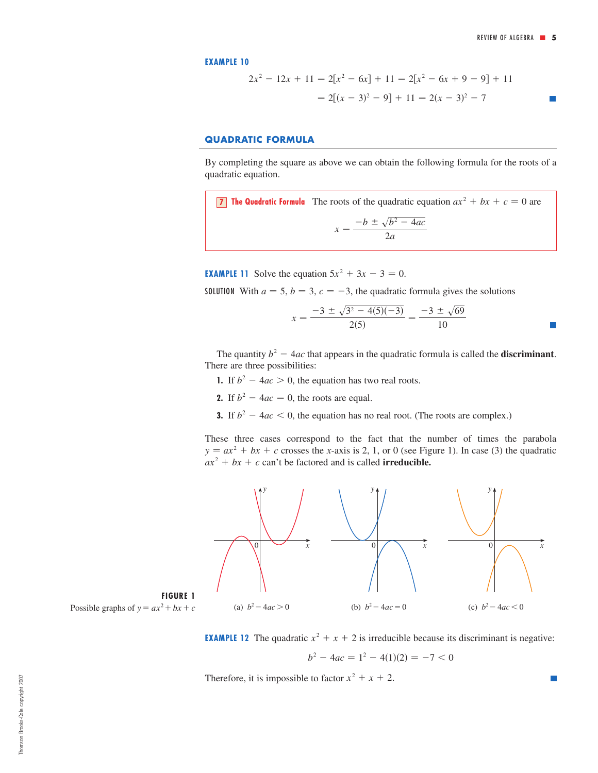$\mathcal{C}^{\mathcal{A}}$ 

**EXAMPLE 10**

$$
2x2 - 12x + 11 = 2[x2 - 6x] + 11 = 2[x2 - 6x + 9 - 9] + 11
$$

$$
= 2[(x - 3)2 - 9] + 11 = 2(x - 3)2 - 7
$$

## **QUADRATIC FORMULA**

By completing the square as above we can obtain the following formula for the roots of a quadratic equation.

**T** The Quadratic Formula The roots of the quadratic equation  $ax^2 + bx + c = 0$  are  $x = \frac{-b \pm \sqrt{b^2 - 4ac}}{2a}$ 

**EXAMPLE 11** Solve the equation  $5x^2 + 3x - 3 = 0$ .

**SOLUTION** With  $a = 5$ ,  $b = 3$ ,  $c = -3$ , the quadratic formula gives the solutions

$$
x = \frac{-3 \pm \sqrt{3^2 - 4(5)(-3)}}{2(5)} = \frac{-3 \pm \sqrt{69}}{10}
$$

The quantity  $b^2 - 4ac$  that appears in the quadratic formula is called the **discriminant**. There are three possibilities:

- **1.** If  $b^2 4ac > 0$ , the equation has two real roots.
- **2.** If  $b^2 4ac = 0$ , the roots are equal.
- **3.** If  $b^2 4ac < 0$ , the equation has no real root. (The roots are complex.)

These three cases correspond to the fact that the number of times the parabola  $y = ax^2 + bx + c$  crosses the *x*-axis is 2, 1, or 0 (see Figure 1). In case (3) the quadratic  $ax^2 + bx + c$  can't be factored and is called **irreducible.** 





**EXAMPLE 12** The quadratic  $x^2 + x + 2$  is irreducible because its discriminant is negative:

$$
b^2 - 4ac = 1^2 - 4(1)(2) = -7 < 0
$$

Therefore, it is impossible to factor  $x^2 + x + 2$ .

Thomson Brooks-Cole copyright 2007 Thomson Brooks-Cole copyright 2007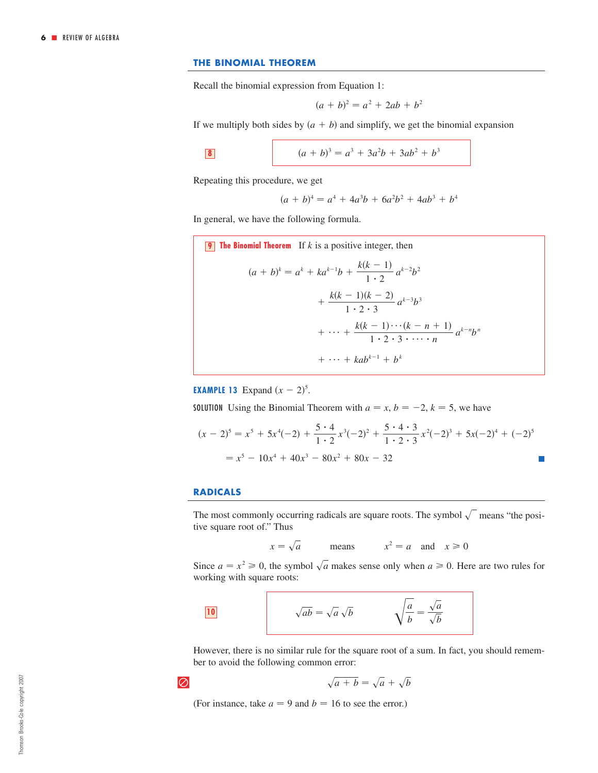## **THE BINOMIAL THEOREM**

Recall the binomial expression from Equation 1:

$$
(a + b)^2 = a^2 + 2ab + b^2
$$

If we multiply both sides by  $(a + b)$  and simplify, we get the binomial expansion

$$
\boxed{\textbf{8}}
$$

8 
$$
(a+b)^3 = a^3 + 3a^2b + 3ab^2 + b^3
$$

Repeating this procedure, we get

$$
(a + b)4 = a4 + 4a3b + 6a2b2 + 4ab3 + b4
$$

In general, we have the following formula.

9 The Binomial Theorem If k is a positive integer, then  
\n
$$
(a + b)^k = a^k + ka^{k-1}b + \frac{k(k-1)}{1 \cdot 2}a^{k-2}b^2 + \frac{k(k-1)(k-2)}{1 \cdot 2 \cdot 3}a^{k-3}b^3 + \cdots + \frac{k(k-1)\cdots(k-n+1)}{1 \cdot 2 \cdot 3 \cdots n}a^{k-n}b^n + \cdots + kab^{k-1} + b^k
$$

**EXAMPLE 13** Expand  $(x - 2)^5$ .

**SOLUTION** Using the Binomial Theorem with  $a = x, b = -2, k = 5$ , we have

$$
(x - 2)^5 = x^5 + 5x^4(-2) + \frac{5 \cdot 4}{1 \cdot 2}x^3(-2)^2 + \frac{5 \cdot 4 \cdot 3}{1 \cdot 2 \cdot 3}x^2(-2)^3 + 5x(-2)^4 + (-2)^5
$$
  
=  $x^5 - 10x^4 + 40x^3 - 80x^2 + 80x - 32$ 

#### **RADICALS**

The most commonly occurring radicals are square roots. The symbol  $\sqrt{\ }$  means "the positive square root of." Thus

$$
x = \sqrt{a}
$$
 means  $x^2 = a$  and  $x \ge 0$ 

Since  $a = x^2 \ge 0$ , the symbol  $\sqrt{a}$  makes sense only when  $a \ge 0$ . Here are two rules for working with square roots:

$$
\sqrt{ab} = \sqrt{a}\sqrt{b} \qquad \qquad \sqrt{\frac{a}{b}} = \frac{\sqrt{a}}{\sqrt{b}}
$$

However, there is no similar rule for the square root of a sum. In fact, you should remember to avoid the following common error:

$$
\overline{\oslash}
$$

$$
\sqrt{a+b} = \sqrt{a} + \sqrt{b}
$$

(For instance, take  $a = 9$  and  $b = 16$  to see the error.)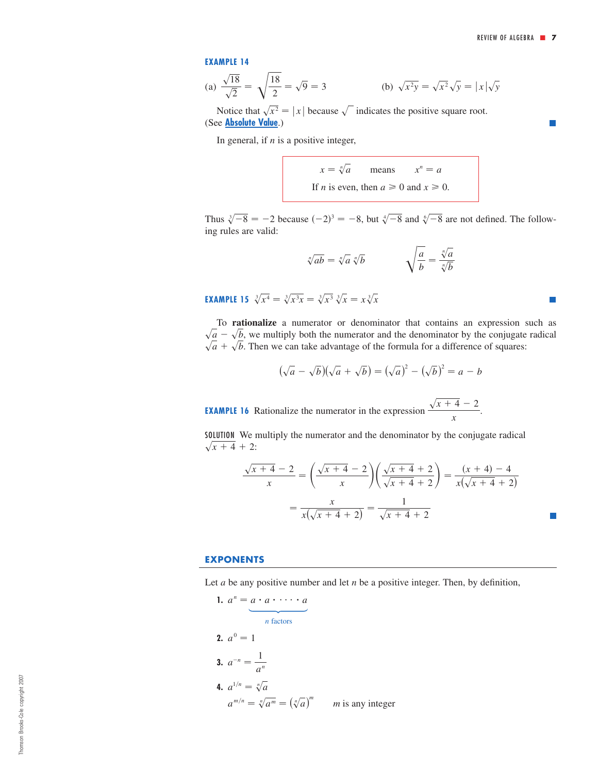П

Ħ

#### **EXAMPLE 14**

(a) 
$$
\frac{\sqrt{18}}{\sqrt{2}} = \sqrt{\frac{18}{2}} = \sqrt{9} = 3
$$
 (b)  $\sqrt{x^2y} = \sqrt{x^2}\sqrt{y} = |x|\sqrt{y}$ 

Notice that  $\sqrt{x^2} = |x|$  because  $\sqrt{\ }$  indicates the positive square root. (See **[Absolute Value](#page-9-0)**.)

In general, if  $n$  is a positive integer,

means If *n* is even, then  $a \ge 0$  and  $x \ge 0$ .  $x = \sqrt[n]{a}$  means  $x^n = a$ 

Thus  $\sqrt[3]{-8} = -2$  because  $(-2)^3 = -8$ , but  $\sqrt[4]{-8}$  and  $\sqrt[6]{-8}$  are not defined. The following rules are valid:

$$
\sqrt[n]{ab} = \sqrt[n]{a} \sqrt[n]{b} \qquad \qquad \sqrt{\frac{a}{b}} = \frac{\sqrt[n]{a}}{\sqrt[n]{b}}
$$

**EXAMPLE 15**  $\sqrt[3]{x^4} = \sqrt[3]{x^3x} = \sqrt[3]{x^3} \sqrt[3]{x} = x \sqrt[3]{x}$ 

To **rationalize** a numerator or denominator that contains an expression such as  $\sqrt{a} - \sqrt{b}$ , we multiply both the numerator and the denominator by the conjugate radical  $\sqrt{a} + \sqrt{b}$ . Then we can take advantage of the formula for a difference of squares:

$$
(\sqrt{a} - \sqrt{b})(\sqrt{a} + \sqrt{b}) = (\sqrt{a})^2 - (\sqrt{b})^2 = a - b
$$

**EXAMPLE 16** Rationalize the numerator in the expression  $\frac{\sqrt{x+4}-2}{\sqrt{x+4}-2}$ . *x*

SOLUTION We multiply the numerator and the denominator by the conjugate radical  $\sqrt{x+4} + 2$ :

$$
\frac{\sqrt{x+4}-2}{x} = \left(\frac{\sqrt{x+4}-2}{x}\right)\left(\frac{\sqrt{x+4}+2}{\sqrt{x+4}+2}\right) = \frac{(x+4)-4}{x(\sqrt{x+4}+2)}
$$

$$
= \frac{x}{x(\sqrt{x+4}+2)} = \frac{1}{\sqrt{x+4}+2}
$$

### **EXPONENTS**

Let  $a$  be any positive number and let  $n$  be a positive integer. Then, by definition,

**1.**  $a^n = a \cdot a \cdot \cdots \cdot a$ *n* factors **2.**  $a^0 = 1$ **3.**  $a^{-n} = \frac{1}{a^n}$ **4.**  $a^{1/n} = \sqrt[n]{a}$  $a^{m/n} = \sqrt[n]{a^m} = (\sqrt[n]{a})^m$  *m* is any integer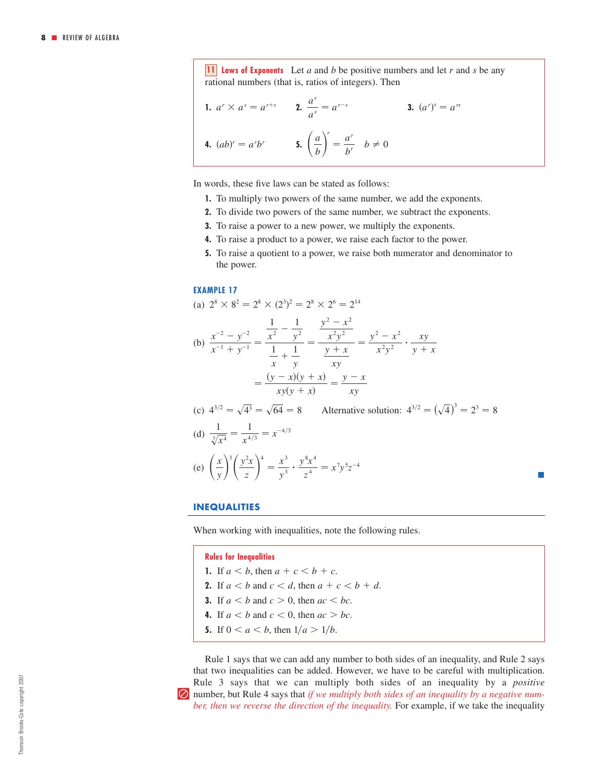**11** *laws of Exponents* Let a and b be positive numbers and let r and s be any rational numbers (that is, ratios of integers). Then

**1.** 
$$
a^r \times a^s = a^{r+s}
$$
 **2.**  $\frac{a^r}{a^s} = a^{r-s}$  **3.**  $(a^r)^s = a^{rs}$   
**4.**  $(ab)^r = a^r b^r$  **5.**  $\left(\frac{a}{b}\right)^r = \frac{a^r}{b^r} \quad b \neq 0$ 

In words, these five laws can be stated as follows:

- **1.** To multiply two powers of the same number, we add the exponents.
- **2.** To divide two powers of the same number, we subtract the exponents.
- **3.** To raise a power to a new power, we multiply the exponents.
- **4.** To raise a product to a power, we raise each factor to the power.
- **5.** To raise a quotient to a power, we raise both numerator and denominator to the power.

#### **EXAMPLE 17**

(a) 
$$
2^8 \times 8^2 = 2^8 \times (2^3)^2 = 2^8 \times 2^6 = 2^{14}
$$

(b) 
$$
\frac{x^{-2} - y^{-2}}{x^{-1} + y^{-1}} = \frac{\frac{1}{x^2} - \frac{1}{y^2}}{\frac{1}{x} + \frac{1}{y}} = \frac{\frac{y^2 - x^2}{x^2 y^2}}{\frac{y + x}{xy}} = \frac{y^2 - x^2}{x^2 y^2} \cdot \frac{xy}{y + x}
$$

$$
= \frac{(y - x)(y + x)}{xy(y + x)} = \frac{y - x}{xy}
$$

(c) 
$$
4^{3/2} = \sqrt{4^3} = \sqrt{64} = 8
$$
 Alternative solution:  $4^{3/2} = (\sqrt{4})^3 = 2^3 = 8$   
\n(d)  $\frac{1}{\sqrt[3]{x^4}} = \frac{1}{x^{4/3}} = x^{-4/3}$   
\n(e)  $\left(\frac{x}{y}\right)^3 \left(\frac{y^2 x}{z}\right)^4 = \frac{x^3}{y^3} \cdot \frac{y^8 x^4}{z^4} = x^7 y^5 z^{-4}$ 

#### **INEQUALITIES**

When working with inequalities, note the following rules.

**Rules for Inequalities**

- **1.** If  $a < b$ , then  $a + c < b + c$ .
- **2.** If  $a < b$  and  $c < d$ , then  $a + c < b + d$ .
- **3.** If  $a < b$  and  $c > 0$ , then  $ac < bc$ .
- **4.** If  $a < b$  and  $c < 0$ , then  $ac > bc$ .
- **5.** If  $0 < a < b$ , then  $1/a > 1/b$ .

Rule 1 says that we can add any number to both sides of an inequality, and Rule 2 says that two inequalities can be added. However, we have to be careful with multiplication. Rule 3 says that we can multiply both sides of an inequality by a *positive*  | number, but Rule 4 says that *if we multiply both sides of an inequality by a negative number, then we reverse the direction of the inequality.* For example, if we take the inequality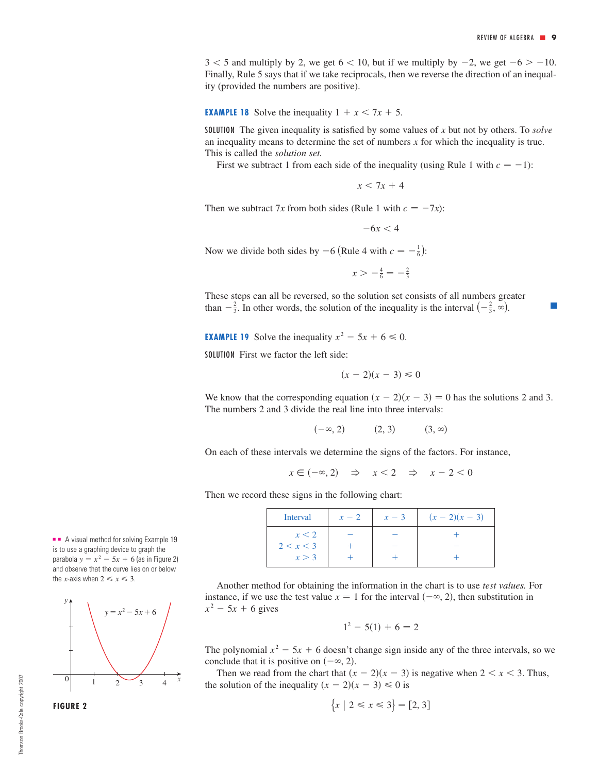$3 < 5$  and multiply by 2, we get  $6 < 10$ , but if we multiply by  $-2$ , we get  $-6 > -10$ . Finally, Rule 5 says that if we take reciprocals, then we reverse the direction of an inequality (provided the numbers are positive).

**EXAMPLE 18** Solve the inequality  $1 + x < 7x + 5$ .

SOLUTION The given inequality is satisfied by some values of  $x$  but not by others. To *solve* an inequality means to determine the set of numbers  $x$  for which the inequality is true. This is called the *solution set.* 

First we subtract 1 from each side of the inequality (using Rule 1 with  $c = -1$ ):

 $x < 7x + 4$ 

Then we subtract 7x from both sides (Rule 1 with  $c = -7x$ ):

$$
-6x<4
$$

Now we divide both sides by  $-6$  (Rule 4 with  $c = -\frac{1}{6}$ ):

 $x > -\frac{4}{6} = -\frac{2}{3}$ 

These steps can all be reversed, so the solution set consists of all numbers greater than  $-\frac{2}{3}$ . In other words, the solution of the inequality is the interval  $\left(-\frac{2}{3}, \infty\right)$ .

**EXAMPLE 19** Solve the inequality  $x^2 - 5x + 6 \le 0$ .

SOLUTION First we factor the left side:

$$
(x-2)(x-3) \leq 0
$$

We know that the corresponding equation  $(x - 2)(x - 3) = 0$  has the solutions 2 and 3. The numbers 2 and 3 divide the real line into three intervals:

> $(-\infty, 2)$  (2, 3)  $(3, \infty)$

On each of these intervals we determine the signs of the factors. For instance,

 $x \in (-\infty, 2) \Rightarrow x < 2 \Rightarrow x - 2 < 0$ 

Then we record these signs in the following chart:

| Interval  | $x-2$ | $x-3$ | $(x - 2)(x - 3)$ |
|-----------|-------|-------|------------------|
| x < 2     |       |       |                  |
| 2 < x < 3 |       |       |                  |
| x > 3     |       |       |                  |

Another method for obtaining the information in the chart is to use *test values.* For instance, if we use the test value  $x = 1$  for the interval  $(-\infty, 2)$ , then substitution in  $x^2$  – 5*x* + 6 gives

$$
1^2 - 5(1) + 6 = 2
$$

The polynomial  $x^2 - 5x + 6$  doesn't change sign inside any of the three intervals, so we conclude that it is positive on  $(-\infty, 2)$ .

Then we read from the chart that  $(x - 2)(x - 3)$  is negative when  $2 < x < 3$ . Thus, the solution of the inequality  $(x - 2)(x - 3) \le 0$  is

$$
\{x \mid 2 \le x \le 3\} = [2, 3]
$$

■ ■ A visual method for solving Example 19 is to use a graphing device to graph the parabola  $y = x^2 - 5x + 6$  (as in Figure 2) and observe that the curve lies on or below the *x*-axis when  $2 \le x \le 3$ .

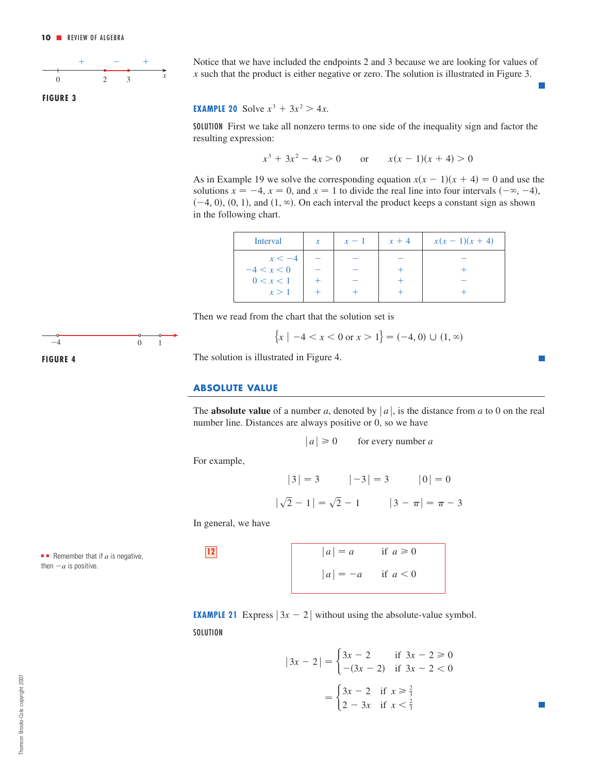<span id="page-9-0"></span>

**FIGURE 3**

Notice that we have included the endpoints 2 and 3 because we are looking for values of  $x$  such that the product is either negative or zero. The solution is illustrated in Figure 3.

## **EXAMPLE 20** Solve  $x^3 + 3x^2 > 4x$ .

SOLUTION First we take all nonzero terms to one side of the inequality sign and factor the resulting expression:

$$
x^3 + 3x^2 - 4x > 0 \qquad \text{or} \qquad x(x - 1)(x + 4) > 0
$$

As in Example 19 we solve the corresponding equation  $x(x - 1)(x + 4) = 0$  and use the solutions  $x = -4$ ,  $x = 0$ , and  $x = 1$  to divide the real line into four intervals  $(-\infty, -4)$ ,  $(-4, 0), (0, 1),$  and  $(1, \infty)$ . On each interval the product keeps a constant sign as shown in the following chart.

| $\mathcal{X}$ | $x-1$ | $x + 4$ | $x(x-1)(x+4)$ |
|---------------|-------|---------|---------------|
|               |       |         |               |
|               |       |         |               |
|               |       |         |               |
|               |       |         |               |
|               |       |         |               |

Then we read from the chart that the solution set is

$$
\{x \mid -4 < x < 0 \text{ or } x > 1\} = (-4, 0) \cup (1, \infty)
$$

The solution is illustrated in Figure 4.

### **ABSOLUTE VALUE**

The **absolute value** of a number a, denoted by  $|a|$ , is the distance from a to 0 on the real number line. Distances are always positive or 0, so we have

$$
|a| \ge 0
$$
 for every number a

For example,

$$
|3| = 3
$$
  $|-3| = 3$   $|0| = 0$   
 $|\sqrt{2} - 1| = \sqrt{2} - 1$   $|3 - \pi| = \pi - 3$ 

In general, we have

■ **Remember that if** 
$$
a
$$
 is negative, then  $-a$  is positive.

 *a a* if *a* 0 **12** *a a* if *a* 0

**EXAMPLE 21** Express  $|3x - 2|$  without using the absolute-value symbol. **SOLUTION** 

$$
|3x - 2| = \begin{cases} 3x - 2 & \text{if } 3x - 2 \ge 0 \\ -(3x - 2) & \text{if } 3x - 2 < 0 \end{cases}
$$

$$
= \begin{cases} 3x - 2 & \text{if } x \ge \frac{2}{3} \\ 2 - 3x & \text{if } x < \frac{2}{3} \end{cases}
$$

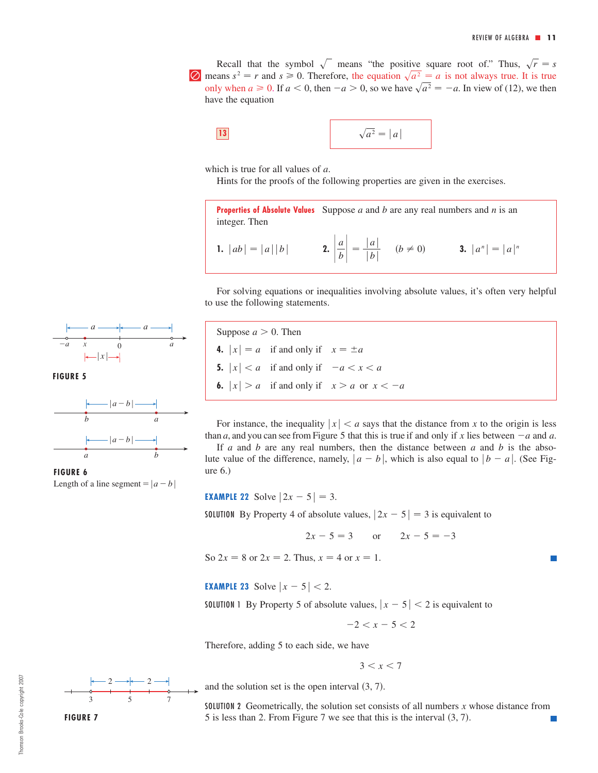Recall that the symbol  $\sqrt{\ }$  means "the positive square root of." Thus,  $\sqrt{r} = s$  $\Box$  means  $s^2 = r$  and  $s \ge 0$ . Therefore, the equation  $\sqrt{a^2} = a$  is not always true. It is true only when  $a \ge 0$ . If  $a < 0$ , then  $-a > 0$ , so we have  $\sqrt{a^2} = -a$ . In view of (12), we then have the equation

$$
\sqrt{a^2} = |a|
$$

which is true for all values of  $a$ .

Hints for the proofs of the following properties are given in the exercises.

**Properties of Absolute Values** Suppose a and b are any real numbers and n is an integer. Then

**1.** 
$$
|ab| = |a||b|
$$
 **2.**  $\left| \frac{a}{b} \right| = \frac{|a|}{|b|}$   $(b \neq 0)$  **3.**  $|a^n| = |a|^n$ 

For solving equations or inequalities involving absolute values, it's often very helpful to use the following statements.



**FIGURE 6** Length of a line segment =  $|a-b|$ 



For instance, the inequality  $|x| < a$  says that the distance from x to the origin is less than a, and you can see from Figure 5 that this is true if and only if x lies between  $-a$  and a. If  $a$  and  $b$  are any real numbers, then the distance between  $a$  and  $b$  is the abso-

lute value of the difference, namely,  $|a - b|$ , which is also equal to  $|b - a|$ . (See Figure 6.)

**EXAMPLE 22** Solve  $|2x - 5| = 3$ .

**SOLUTION** By Property 4 of absolute values,  $|2x - 5| = 3$  is equivalent to

$$
2x - 5 = 3
$$
 or  $2x - 5 = -3$ 

So  $2x = 8$  or  $2x = 2$ . Thus,  $x = 4$  or  $x = 1$ .

**EXAMPLE 23** Solve  $|x - 5| < 2$ .

**SOLUTION** 1 By Property 5 of absolute values,  $|x-5| < 2$  is equivalent to

 $-2 < x - 5 < 2$ 

Therefore, adding 5 to each side, we have

$$
3 < x < 7
$$

and the solution set is the open interval  $(3, 7)$ .

SOLUTION 2 Geometrically, the solution set consists of all numbers  $x$  whose distance from 5 is less than 2. From Figure 7 we see that this is the interval  $(3, 7)$ .

357  $2 \rightarrow 2$ **FIGURE 7**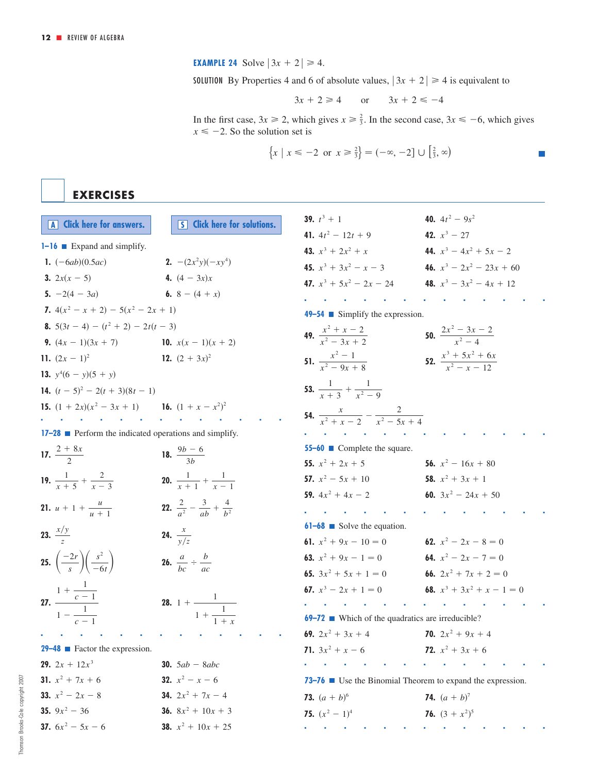**EXAMPLE 24** Solve  $|3x + 2| \ge 4$ .

**SOLUTION** By Properties 4 and 6 of absolute values,  $|3x + 2| \ge 4$  is equivalent to

$$
3x + 2 \ge 4 \qquad \text{or} \qquad 3x + 2 \le -4
$$

In the first case,  $3x \ge 2$ , which gives  $x \ge \frac{2}{3}$ . In the second case,  $3x \le -6$ , which gives  $x \le -2$ . So the solution set is  $3x \ge 2$ , which gives  $x \ge \frac{2}{3}$ . In the second case,  $3x \le -6$ 

$$
\{x \mid x \le -2 \text{ or } x \ge \frac{2}{3}\} = (-\infty, -2] \cup [\frac{2}{3}, \infty)
$$

**EXERCISES**

| A Click here for answers.                                        | <b>S</b> Click here for solutions.                      | 39. $t^3 + 1$                                                           | 40. $4t^2 - 9s^2$                          |
|------------------------------------------------------------------|---------------------------------------------------------|-------------------------------------------------------------------------|--------------------------------------------|
| $1 - 16$ Expand and simplify.                                    |                                                         | 41. $4t^2 - 12t + 9$                                                    | 42. $x^3$ – 27                             |
| 1. $(-6ab)(0.5ac)$                                               | <b>2.</b> $-(2x^2y)(-xy^4)$                             | 43. $x^3 + 2x^2 + x$                                                    | 44. $x^3 - 4x^2 + 5x - 2$                  |
|                                                                  | 4. $(4 - 3x)x$                                          | 45. $x^3 + 3x^2 - x - 3$                                                | 46. $x^3 - 2x^2 - 23x + 60$                |
| 3. $2x(x - 5)$                                                   | 6. 8 – $(4 + x)$                                        | 47. $x^3 + 5x^2 - 2x - 24$                                              | 48. $x^3 - 3x^2 - 4x + 12$                 |
| 5. $-2(4 - 3a)$                                                  |                                                         |                                                                         |                                            |
| 7. $4(x^2 - x + 2) - 5(x^2 - 2x + 1)$                            |                                                         | $49-54$ Simplify the expression.                                        |                                            |
| 8. $5(3t-4) - (t^2 + 2) - 2t(t - 3)$                             |                                                         | 49. $\frac{x^2 + x - 2}{x^2 - 3x + 2}$                                  | <b>50.</b> $\frac{2x^2-3x-2}{x^2-4}$       |
| 9. $(4x - 1)(3x + 7)$                                            | 10. $x(x-1)(x+2)$                                       |                                                                         |                                            |
| 11. $(2x - 1)^2$                                                 | 12. $(2 + 3x)^2$                                        | 51. $\frac{x^2-1}{x^2-9x+8}$                                            | 52. $\frac{x^3 + 5x^2 + 6x}{x^2 - x - 12}$ |
| 13. $v^4(6 - y)(5 + y)$                                          |                                                         |                                                                         |                                            |
| 14. $(t-5)^2$ – 2(t + 3)(8t – 1)                                 |                                                         | 53. $\frac{1}{x+3} + \frac{1}{x^2-9}$                                   |                                            |
| <b>15.</b> $(1 + 2x)(x^2 - 3x + 1)$ <b>16.</b> $(1 + x - x^2)^2$ |                                                         | <b>54.</b> $\frac{x}{r^2 + r - 2} - \frac{2}{r^2 - 5r + 4}$             |                                            |
|                                                                  |                                                         |                                                                         |                                            |
| 17-28 Perform the indicated operations and simplify.             |                                                         |                                                                         |                                            |
| 17. $\frac{2 + 8x}{2}$                                           | 18. $\frac{9b-6}{3b}$                                   | 55-60 Complete the square.                                              | 56. $x^2 - 16x + 80$                       |
|                                                                  |                                                         | 55. $x^2 + 2x + 5$<br>57. $x^2 - 5x + 10$                               | 58. $x^2 + 3x + 1$                         |
| 19. $\frac{1}{x+5} + \frac{2}{x-3}$                              | 20. $\frac{1}{r+1} + \frac{1}{r-1}$                     |                                                                         |                                            |
| <b>21.</b> $u + 1 + \frac{u}{u + 1}$                             | <b>22.</b> $rac{2}{a^2} - \frac{3}{ab} + \frac{4}{b^2}$ | 59. $4x^2 + 4x - 2$                                                     | 60. $3x^2 - 24x + 50$                      |
|                                                                  |                                                         |                                                                         |                                            |
| 23. $\frac{x/y}{7}$                                              | <b>24.</b> $\frac{x}{\sqrt{z}}$                         | $61-68$ Solve the equation.                                             |                                            |
|                                                                  |                                                         | 61. $x^2 + 9x - 10 = 0$                                                 | 62. $x^2 - 2x - 8 = 0$                     |
| 25. $\left(\frac{-2r}{s}\right)\left(\frac{s^2}{-6t}\right)$     | <b>26.</b> $\frac{a}{bc} \div \frac{b}{ac}$             | <b>63.</b> $x^2 + 9x - 1 = 0$<br><b>64.</b> $x^2 - 2x - 7 = 0$          |                                            |
|                                                                  |                                                         | 65. $3x^2 + 5x + 1 = 0$                                                 | 66. $2x^2 + 7x + 2 = 0$                    |
|                                                                  |                                                         | 67. $x^3 - 2x + 1 = 0$                                                  | 68. $x^3 + 3x^2 + x - 1 = 0$               |
| 27. $rac{1 + \frac{1}{c - 1}}{1 - \frac{1}{c - 1}}$              | <b>28.</b> 1 + $\frac{1}{1 + \frac{1}{1 + x}}$          |                                                                         |                                            |
|                                                                  |                                                         | <b>69–72</b> • Which of the quadratics are irreducible?                 |                                            |
|                                                                  |                                                         | 69. $2x^2 + 3x + 4$                                                     | <b>70.</b> $2x^2 + 9x + 4$                 |
| <b>29-48</b> Eactor the expression.                              |                                                         | 71. $3x^2 + x - 6$                                                      | 72. $x^2 + 3x + 6$                         |
| <b>29.</b> $2x + 12x^3$                                          | <b>30.</b> $5ab - 8abc$                                 |                                                                         | the contract of the contract of the        |
| 31. $x^2 + 7x + 6$                                               | <b>32.</b> $x^2 - x - 6$                                | 73–76 $\blacksquare$ Use the Binomial Theorem to expand the expression. |                                            |
| 33. $x^2 - 2x - 8$                                               | <b>34.</b> $2x^2 + 7x - 4$                              | <b>73.</b> $(a + b)^6$                                                  | <b>74.</b> $(a + b)^7$                     |
| 35. $9x^2 - 36$                                                  | <b>36.</b> $8x^2 + 10x + 3$                             | 75. $(x^2 - 1)^4$                                                       | 76. $(3 + x^2)^5$                          |
| 37. $6x^2 - 5x - 6$                                              | <b>38.</b> $x^2 + 10x + 25$                             |                                                                         |                                            |
|                                                                  |                                                         |                                                                         |                                            |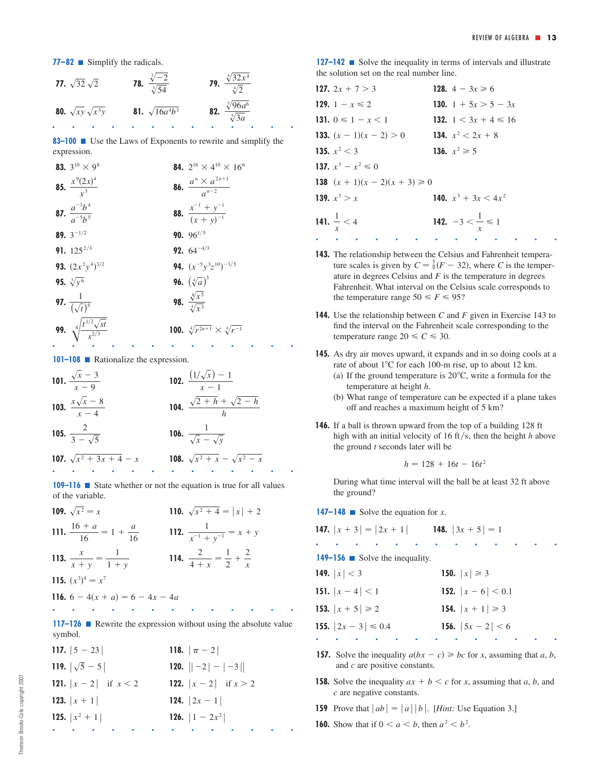**77–82** ■ Simplify the radicals.

**77.** 
$$
\sqrt{32}\sqrt{2}
$$
  
\n**78.**  $\frac{\sqrt[3]{-2}}{\sqrt[3]{54}}$   
\n**79.**  $\frac{\sqrt[4]{32x^4}}{\sqrt[4]{2}}$   
\n**80.**  $\sqrt{xy}\sqrt{x^3y}$   
\n**81.**  $\sqrt{16a^4b^3}$   
\n**82.**  $\frac{\sqrt[5]{96a^6}}{\sqrt[5]{3a}}$ 

**83–100** Use the Laws of Exponents to rewrite and simplify the expression.

| 83. $3^{10} \times 9^8$                                 | 84. $2^{16} \times 4^{10} \times 16^6$            |
|---------------------------------------------------------|---------------------------------------------------|
| <b>85.</b> $\frac{x^9(2x)^4}{x^3}$                      | <b>86.</b> $\frac{a^n \times a^{2n+1}}{a^{n-2}}$  |
| <b>87.</b> $\frac{a^{-3}b^4}{a^{-5}b^5}$                | <b>88.</b> $\frac{x^{-1} + y^{-1}}{(x + y)^{-1}}$ |
| 89. $3^{-1/2}$                                          | 90. $96^{1/5}$                                    |
| 91. $125^{2/3}$                                         | <b>92.</b> $64^{-4/3}$                            |
| <b>93.</b> $(2x^2y^4)^{3/2}$                            | <b>94.</b> $(x^{-5}y^3z^{10})^{-3/5}$             |
| 95. $\sqrt[5]{y^6}$                                     | <b>96.</b> $(\sqrt[4]{a})^3$                      |
| <b>97.</b> $\frac{1}{(\sqrt{t})^5}$                     | 98. $\frac{\sqrt[8]{x^5}}{\sqrt[4]{x^3}}$         |
| <b>99.</b> $\sqrt[4]{\frac{t^{1/2}\sqrt{st}}{s^{2/3}}}$ | 100. $\sqrt[4]{r^{2n+1}} \times \sqrt[4]{r^{-1}}$ |
|                                                         |                                                   |

**101–108 ■** Rationalize the expression.

101. 
$$
\frac{\sqrt{x} - 3}{x - 9}
$$
  
\n102.  $\frac{(1/\sqrt{x}) - 1}{x - 1}$   
\n103.  $\frac{x\sqrt{x} - 8}{x - 4}$   
\n104.  $\frac{\sqrt{2} + h + \sqrt{2} - h}{h}$   
\n105.  $\frac{2}{3 - \sqrt{5}}$   
\n106.  $\frac{1}{\sqrt{x} - \sqrt{y}}$   
\n107.  $\sqrt{x^2 + 3x + 4} - x$   
\n108.  $\sqrt{x^2 + x} - \sqrt{x^2 - x}$ 

**109–116** ■ State whether or not the equation is true for all values of the variable.

| 109. $\sqrt{x^2} = x$                       | 110. $\sqrt{x^2+4} =  x  + 2$                    |
|---------------------------------------------|--------------------------------------------------|
| 111. $\frac{16 + a}{16} = 1 + \frac{a}{16}$ | 112. $\frac{1}{x^{-1} + y^{-1}} = x + y$         |
| 113. $\frac{x}{x+y} = \frac{1}{1+y}$        | 114. $\frac{2}{4+x} = \frac{1}{2} + \frac{2}{x}$ |
| 115. $(x^3)^4 = x^7$                        |                                                  |
| <b>116.</b> $6 - 4(x + a) = 6 - 4x - 4a$    |                                                  |

■■■■■■■■■■■■■ **117–126** Rewrite the expression without using the absolute value symbol.

| 117. $ 5 - 23 $                | 118. $ \pi - 2 $               |
|--------------------------------|--------------------------------|
| 119. $ \sqrt{5}-5 $            | <b>120.</b> $\ -2 - -3 $       |
| <b>121.</b> $ x-2 $ if $x < 2$ | <b>122.</b> $ x-2 $ if $x > 2$ |
| 123. $ x + 1 $                 | <b>124.</b> $ 2x-1 $           |
| <b>125.</b> $ x^2 + 1 $        | <b>126.</b> $ 1 - 2x^2 $       |
|                                |                                |

**127–142** ■ Solve the inequality in terms of intervals and illustrate the solution set on the real number line.

| 127. $2x + 7 > 3$                                           | 128. $4 - 3x \ge 6$           |
|-------------------------------------------------------------|-------------------------------|
| 129. 1 – $x \le 2$                                          | 130. 1 + $5x > 5 - 3x$        |
| 131. $0 \leq 1 - x \leq 1$                                  | 132. $1 < 3x + 4 \le 16$      |
| <b>133.</b> $(x - 1)(x - 2) > 0$ <b>134.</b> $x^2 < 2x + 8$ |                               |
| 135. $x^2 < 3$                                              | 136. $x^2 \ge 5$              |
| 137. $x^3 - x^2 \leq 0$                                     |                               |
| 138 $(x + 1)(x - 2)(x + 3) \ge 0$                           |                               |
| 139. $x^3 > x$                                              | 140. $x^3 + 3x < 4x^2$        |
| 141. $\frac{1}{x}$ < 4                                      | 142. $-3 < \frac{1}{x} \le 1$ |

**143.** The relationship between the Celsius and Fahrenheit temperature scales is given by  $C = \frac{5}{9}(F - 32)$ , where C is the temperature in degrees Celsius and  $F$  is the temperature in degrees Fahrenheit. What interval on the Celsius scale corresponds to the temperature range  $50 \le F \le 95$ ?

■■■■■■■■■■■■■

- **144.** Use the relationship between C and F given in Exercise 143 to find the interval on the Fahrenheit scale corresponding to the temperature range  $20 \le C \le 30$ .
- **145.** As dry air moves upward, it expands and in so doing cools at a rate of about  $1^{\circ}$ C for each 100-m rise, up to about 12 km.
	- (a) If the ground temperature is  $20^{\circ}$ C, write a formula for the temperature at height h.
	- (b) What range of temperature can be expected if a plane takes off and reaches a maximum height of 5 km?
- **146.** If a ball is thrown upward from the top of a building 128 ft high with an initial velocity of 16 ft/s, then the height  $h$  above the ground  $t$  seconds later will be

$$
h = 128 + 16t - 16t^2
$$

During what time interval will the ball be at least 32 ft above the ground?

**147–148** Solve the equation for  $x$ .

| <b>147.</b> $ x+3  =  2x+1 $ <b>148.</b> $ 3x+5  = 1$ |                            |
|-------------------------------------------------------|----------------------------|
|                                                       | <b>Service Control</b>     |
| <b>149–156</b> Solve the inequality.                  |                            |
| 149. $ x  < 3$                                        | 150. $ x  \ge 3$           |
| 151. $ x-4  < 1$                                      | <b>152.</b> $ x-6  < 0.1$  |
| 153. $ x + 5  \ge 2$                                  | 154. $ x + 1  \ge 3$       |
| <b>155.</b> $ 2x - 3  \le 0.4$                        | <b>156.</b> $ 5x - 2  < 6$ |
|                                                       |                            |

- **157.** Solve the inequality  $a(bx c) \geq bc$  for *x*, assuming that *a*, *b*, and c are positive constants.
- **158.** Solve the inequality  $ax + b < c$  for x, assuming that a, b, and are negative constants. *c*
- **159** Prove that  $|ab| = |a||b|$ . [*Hint:* Use Equation 3.]
- **160.** Show that if  $0 < a < b$ , then  $a^2 < b^2$ .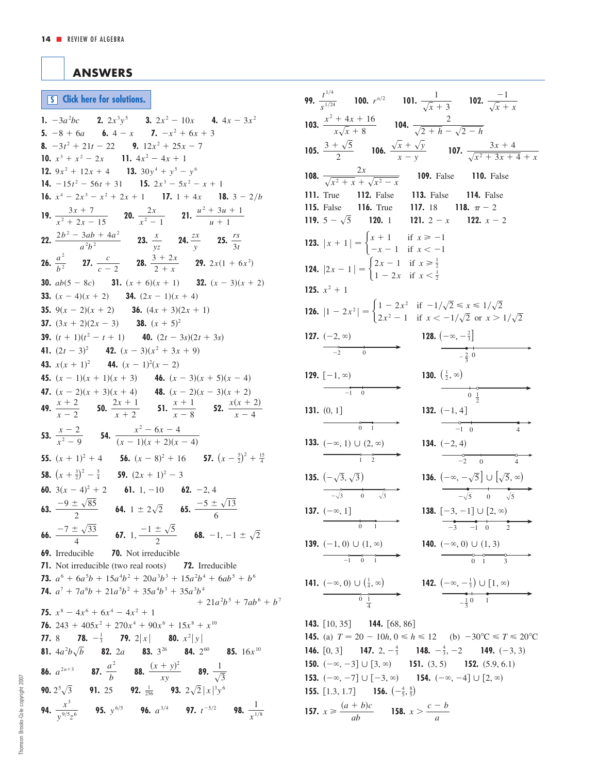## <span id="page-13-0"></span>**ANSWERS**

**S [Click here for solutions.](#page-14-0)**

**1.**  $-3a^2bc$  **2.**  $2x^3y^5$  **3.**  $2x^2 - 10x$  **4.**  $4x - 3x^2$ **5.**  $-8 + 6a$  **6.**  $4 - x$  **7.**  $-x^2 + 6x + 3$ **8.**  $-3t^2 + 21t - 22$  **9.**  $12x^2 + 25x - 7$ **10.**  $x^3 + x^2 - 2x$  **11.**  $4x^2 - 4x + 1$ **12.**  $9x^2 + 12x + 4$  **13.**  $30y^4 + y^5 - y^6$ **14.**  $-15t^2 - 56t + 31$  **15.**  $2x^3 - 5x^2 - x + 1$ **16.**  $x^4 - 2x^3 - x^2 + 2x + 1$  **17.**  $1 + 4x$  **18.**  $3 - 2/b$ **19.**  $\frac{3x+7}{2x-2}$  **20.**  $\frac{2x}{2}$  **21.**  $\frac{u^2+3u+1}{u^2}$ **22.**  $\frac{2b^2 - 3ab + 4a^2}{a}$  **23.**  $\frac{x}{a}$  **24.**  $\frac{zx}{a}$  **25.**  $\frac{rs}{a}$ **26.**  $\frac{a^2}{12}$  **27.**  $\frac{c}{2}$  **28.**  $\frac{3+2x}{2}$  **29.**  $2x(1+6x^2)$ **30.**  $ab(5-8c)$  **31.**  $(x+6)(x+1)$  **32.**  $(x-3)(x+2)$ **33.**  $(x - 4)(x + 2)$  **34.**  $(2x - 1)(x + 4)$ **35.**  $9(x-2)(x+2)$  **36.**  $(4x+3)(2x+1)$ **37.**  $(3x + 2)(2x - 3)$  **38.**  $(x + 5)^2$ **39.**  $(t + 1)(t^2 - t + 1)$  **40.**  $(2t - 3s)(2t + 3s)$ **41.**  $(2t-3)^2$  **42.**  $(x-3)(x^2+3x+9)$ **43.**  $x(x + 1)^2$  **44.**  $(x - 1)^2(x - 2)$ **45.**  $(x - 1)(x + 1)(x + 3)$  **46.**  $(x - 3)(x + 5)(x - 4)$ **47.**  $(x - 2)(x + 3)(x + 4)$  **48.**  $(x - 2)(x - 3)(x + 2)$ **49.**  $\frac{x+2}{x-2}$  **50.**  $\frac{2x+1}{x+2}$  **51.**  $\frac{x+1}{x-8}$  **52.**  $\frac{x(x+2)}{x-4}$ **53.**  $\frac{x-2}{2}$  **54.**  $\frac{x^2-6x-4}{(x-1)(x+2)^2}$ **55.**  $(x + 1)^2 + 4$  **56.**  $(x - 8)^2 + 16$  **57.**  $(x - \frac{5}{2})^2 + \frac{15}{4}$ **58.**  $(x + \frac{3}{2})^2 - \frac{5}{4}$  **59.**  $(2x + 1)^2 - 3$ **60.**  $3(x-4)^2 + 2$  **61.** 1, -10 **62.** -2, 4 **63.**  $\frac{-9 \pm \sqrt{85}}{2}$  **64.**  $1 \pm 2\sqrt{2}$  **65.**  $\frac{-5 \pm \sqrt{13}}{2}$ **66.**  $\frac{-7 \pm \sqrt{33}}{4}$  **67.** 1,  $\frac{-1 \pm \sqrt{5}}{2}$  **68.** -1, -1  $\pm \sqrt{2}$ **69.** Irreducible **70.** Not irreducible **71.** Not irreducible (two real roots) **72.** Irreducible **73.**  $a^6 + 6a^5b + 15a^4b^2 + 20a^3b^3 + 15a^2b^4 + 6ab^5 + b^6$ **74.**  $a^7 + 7a^6b + 21a^5b^2 + 35a^4b^3 + 35a^3b^4$ **75.**  $x^8 - 4x^6 + 6x^4 - 4x^2 + 1$ **76.**  $243 + 405x^2 + 270x^4 + 90x^6 + 15x^8 + x^{10}$ **77.** 8 **78.**  $-\frac{1}{3}$  **79.**  $2|x|$  **80.**  $x^2|y|$ **81.**  $4a^2b\sqrt{b}$  **82.** 2a **83.** 3<sup>26</sup> **84.** 2<sup>60</sup> **85.** 16*x*<sup>10</sup> **86.**  $a^{2n+3}$  **87. 88. 88. 89. 90.**  $2^5\sqrt{3}$  **91.** 25 **92.**  $\frac{1}{256}$  **93.**  $2\sqrt{2}|x|^3y^6$ **94.**  $\frac{x^3}{y^{9/5}z^6}$  **95.**  $y^{6/5}$  **96.**  $a^{3/4}$  **97.**  $t^{-5/2}$  **98.**  $\frac{1}{x^{1/8}}$ *y* <sup>9</sup> 5 *z* 6 1  $\sqrt{3}$  $(x + y)^2$ *xy*  $a^{2n+3}$  **87.**  $\frac{a^2}{b}$  $+ 21a^2b^5 + 7ab^6 + b^7$  $-7 \pm \sqrt{33}$ 4  $\frac{-9 \pm \sqrt{85}}{2}$  **64.** 1 ± 2 $\sqrt{2}$  **65.**  $\frac{-5 \pm \sqrt{2}}{6}$  $(x - 1)(x + 2)(x - 4)$  $x - 2$  $x^2 - 9$  $x + 1$  $x - 8$  $2x + 1$  $x + 2$  $x + 2$  $x - 2$  $2 + x$ *c*  $c - 2$ *a* 2 *b* 2 3*t zx y x yz*  $2b^2 - 3ab + 4a^2$  $a^2b^2$  $u + 1$ 2*x*  $x^2 - 1$  $3x + 7$  $x^2 + 2x - 15$ 

| <b>99.</b> $\frac{t^{1/4}}{s^{1/24}}$ <b>100.</b> $r^{n/2}$ <b>101.</b> $\frac{1}{\sqrt{x}+3}$ <b>102.</b> $\frac{-1}{\sqrt{x}+x}$                                                           |
|----------------------------------------------------------------------------------------------------------------------------------------------------------------------------------------------|
| 103. $rac{x^2 + 4x + 16}{x\sqrt{x} + 8}$ 104. $rac{2}{\sqrt{2+h} - \sqrt{2-h}}$                                                                                                              |
| <b>105.</b> $rac{3 + \sqrt{5}}{2}$ <b>106.</b> $rac{\sqrt{x} + \sqrt{y}}{x - y}$ <b>107.</b> $rac{3x + 4}{\sqrt{x^2 + 3x + 4} + x}$                                                          |
| <b>108.</b> $\frac{2x}{\sqrt{x^2 + x} + \sqrt{x^2 - x}}$ <b>109.</b> False <b>110.</b> False                                                                                                 |
| 111. True 112. False 113. False 114. False                                                                                                                                                   |
| 115. False 116. True 117. 18 118. $\pi - 2$<br>119. $5 - \sqrt{5}$ 120. 1 121. $2 - x$ 122. $x - 2$                                                                                          |
| <b>123.</b> $ x + 1  = \begin{cases} x + 1 & \text{if } x \ge -1 \\ -x - 1 & \text{if } x < -1 \end{cases}$                                                                                  |
| <b>124.</b> $ 2x - 1  = \begin{cases} 2x - 1 & \text{if } x \ge \frac{1}{2} \\ 1 - 2x & \text{if } x < \frac{1}{2} \end{cases}$                                                              |
| 125. $x^2 + 1$                                                                                                                                                                               |
| <b>126.</b> $ 1 - 2x^2 $ = $\begin{cases} 1 - 2x^2 & \text{if } -1/\sqrt{2} \le x \le 1/\sqrt{2} \\ 2x^2 - 1 & \text{if } x < -1/\sqrt{2} \text{ or } x > 1/\sqrt{2} \end{cases}$            |
| <b>128.</b> $\left(-\infty, -\frac{2}{3}\right]$<br>127. $(-2, \infty)$<br>$\qquad \qquad -2$<br>$\qquad \qquad 0$                                                                           |
| $-\frac{2}{3}$ 0                                                                                                                                                                             |
| 130. $(\frac{1}{2}, \infty)$<br>129. $[-1, \infty)$                                                                                                                                          |
| $\overline{\phantom{a}1\phantom{a}}$<br>$\begin{array}{c c}\n & 0 \\ \hline\n0 & \frac{1}{2}\n\end{array}$                                                                                   |
| 132. $(-1, 4]$<br>131. $(0, 1]$                                                                                                                                                              |
| $\overrightarrow{0}$<br>$\begin{array}{c}\n\circ \\ \hline\n-1 & 0\n\end{array}$<br>$\overline{4}$                                                                                           |
| 133. $(-\infty, 1) \cup (2, \infty)$<br>134. $(-2, 4)$<br>$\overrightarrow{-2}$ 0                                                                                                            |
| $\overline{4}$<br>135. $(-\sqrt{3}, \sqrt{3})$                                                                                                                                               |
| <b>136.</b> $\left(-\infty, -\sqrt{5}\right] \cup \left[\sqrt{5}, \infty\right)$<br>$-\sqrt{3}$ 0 $\sqrt{3}$<br>$-\sqrt{5}$ 0 $\sqrt{5}$                                                     |
| 138. $[-3, -1] \cup [2, \infty)$<br>137. $(-\infty, 1]$                                                                                                                                      |
| $\frac{1}{0}$<br>$-3$ $-1$ 0<br>2                                                                                                                                                            |
| 139. $(-1, 0) \cup (1, \infty)$<br>140. $(-\infty, 0) \cup (1, 3)$                                                                                                                           |
| $\begin{array}{ccc}\n0 & 0 & 0 \\ \hline\n0 & 1 & 3\n\end{array}$<br>$\overrightarrow{-1}$ 0 1                                                                                               |
| 142. $\left(-\infty, -\frac{1}{3}\right) \cup [1, \infty)$<br>$\frac{1}{-\frac{1}{3} \cdot 0}$<br>141. $\left(\frac{-\infty, 0\right) \cup \left(\frac{1}{4}, \infty\right)}{0 \frac{1}{4}}$ |
|                                                                                                                                                                                              |
| <b>143.</b> [10, 35] <b>144.</b> [68, 86]                                                                                                                                                    |
| <b>145.</b> (a) $T = 20 - 10h, 0 \le h \le 12$ (b) $-30^{\circ}\text{C} \le T \le 20^{\circ}\text{C}$                                                                                        |
| <b>146.</b> [0, 3] <b>147.</b> 2, $-\frac{4}{3}$ <b>148.</b> $-\frac{4}{3}$ , $-2$ <b>149.</b> (-3, 3)                                                                                       |
| <b>150.</b> $(-\infty, -3] \cup [3, \infty)$ <b>151.</b> $(3, 5)$ <b>152.</b> $(5.9, 6.1)$                                                                                                   |

- **153.**  $(-\infty, -7] \cup [-3, \infty)$  **154.**  $(-\infty, -4] \cup [2, \infty)$
- **155.** [1.3, 1.7] **156.**  $\left(-\frac{4}{5}, \frac{8}{5}\right)$ **157.**  $x \ge \frac{(a+b)c}{ab}$  **158.**  $x > \frac{c-b}{a}$

*ab*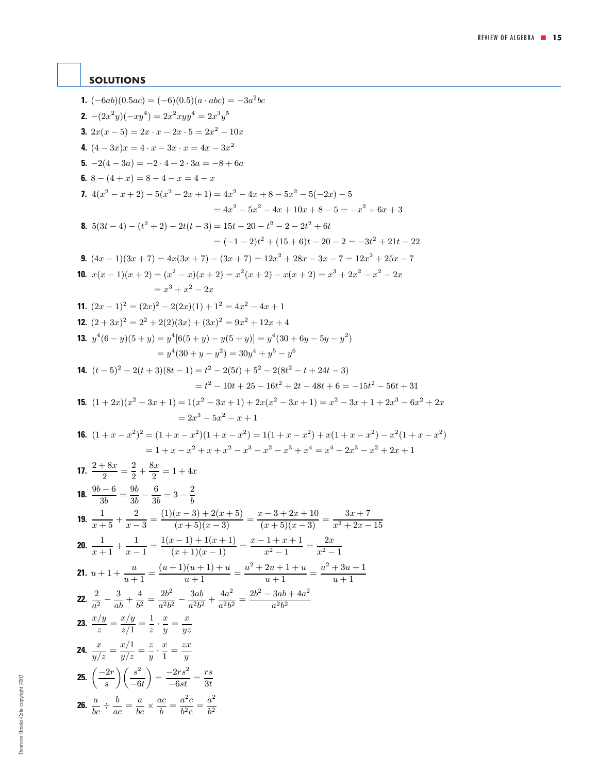## <span id="page-14-0"></span>**SOLUTIONS**

**1.**  $(-6ab)(0.5ac) = (-6)(0.5)(a \cdot abc) = -3a^2bc$ **2.**  $-(2x^2y)(-xy^4) = 2x^2xyy^4 = 2x^3y^5$ **3.**  $2x(x-5) = 2x \cdot x - 2x \cdot 5 = 2x^2 - 10x$ **4.**  $(4-3x)x = 4 \cdot x - 3x \cdot x = 4x - 3x^2$ **5.**  $-2(4-3a) = -2 \cdot 4 + 2 \cdot 3a = -8 + 6a$ **6.**  $8 - (4 + x) = 8 - 4 - x = 4 - x$ **7.**  $4(x^{2} - x + 2) - 5(x^{2} - 2x + 1) = 4x^{2} - 4x + 8 - 5x^{2} - 5(-2x) - 5$  $= 4x^2 - 5x^2 - 4x + 10x + 8 - 5 = -x^2 + 6x + 3$ **8.**  $5(3t-4)-(t^2+2)-2t(t-3)=15t-20-t^2-2-2t^2+6t$  $= (-1 - 2)t<sup>2</sup> + (15 + 6)t - 20 - 2 = -3t<sup>2</sup> + 21t - 22$ **9.**  $(4x-1)(3x+7) = 4x(3x+7) - (3x+7) = 12x^2 + 28x - 3x - 7 = 12x^2 + 25x - 7$ **10.**  $x(x-1)(x+2) = (x^2-x)(x+2) = x^2(x+2) - x(x+2) = x^3 + 2x^2 - x^2 - 2x$  $= x^3 + x^2 - 2x$ **11.**  $(2x-1)^2 = (2x)^2 - 2(2x)(1) + 1^2 = 4x^2 - 4x + 1$ **12.**  $(2+3x)^2 = 2^2 + 2(2)(3x) + (3x)^2 = 9x^2 + 12x + 4$ **13.**  $y^4(6-y)(5+y) = y^4[6(5+y) - y(5+y)] = y^4(30+6y-5y-y^2)$  $= y^4(30 + y - y^2) = 30y^4 + y^5 - y^6$ **14.**  $(t-5)^2 - 2(t+3)(8t-1) = t^2 - 2(5t) + 5^2 - 2(8t^2 - t + 24t - 3)$  $= t^2 - 10t + 25 - 16t^2 + 2t - 48t + 6 = -15t^2 - 56t + 31$ **15.**  $(1+2x)(x^2-3x+1)=1(x^2-3x+1)+2x(x^2-3x+1)=x^2-3x+1+2x^3-6x^2+2x$  $= 2x^3 - 5x^2 - x + 1$ **16.**  $(1+x-x^2)^2 = (1+x-x^2)(1+x-x^2) = 1(1+x-x^2) + x(1+x-x^2) - x^2(1+x-x^2)$  $=1+x-x^2+x+x^2-x^3-x^2-x^3+x^4=x^4-2x^3-x^2+2x+1$ **17.**  $\frac{2+8x}{2} = \frac{2}{2} + \frac{8x}{2} = 1 + 4x$ **18.**  $\frac{9b-6}{3b} = \frac{9b}{3b} - \frac{6}{3b} = 3 - \frac{2}{b}$ **19.**  $\frac{1}{x+5} + \frac{2}{x-3} = \frac{(1)(x-3) + 2(x+5)}{(x+5)(x-3)} = \frac{x-3+2x+10}{(x+5)(x-3)} = \frac{3x+7}{x^2+2x-15}$ **20.**  $\frac{1}{x+1} + \frac{1}{x-1} = \frac{1(x-1) + 1(x+1)}{(x+1)(x-1)} = \frac{x-1+x+1}{x^2-1} = \frac{2x}{x^2-1}$ **21.**  $u + 1 + \frac{u}{u+1} = \frac{(u+1)(u+1) + u}{u+1} = \frac{u^2 + 2u + 1 + u}{u+1} = \frac{u^2 + 3u + 1}{u+1}$ **22.**  $\frac{2}{a^2} - \frac{3}{ab} + \frac{4}{b^2} = \frac{2b^2}{a^2b^2} - \frac{3ab}{a^2b^2} + \frac{4a^2}{a^2b^2} = \frac{2b^2 - 3ab + 4a^2}{a^2b^2}$ **23.**  $\frac{x/y}{z} = \frac{x/y}{z/1} = \frac{1}{z} \cdot \frac{x}{y} = \frac{x}{yz}$ **24.**  $\frac{x}{y/z} = \frac{x/1}{y/z} = \frac{z}{y}$ .  $\frac{x}{1} = \frac{zx}{y}$ **26.**  $\frac{a}{bc} \div$  $\frac{b}{ac} = \frac{a}{bc} \times \frac{ac}{b} = \frac{a^2c}{b^2c} = \frac{a^2}{b^2}$ **25.**  $\left(\frac{-2r}{s}\right)$  $\bigwedge$   $s^2$  $-6t$  $= \frac{-2rs^2}{-6st} = \frac{rs}{3t}$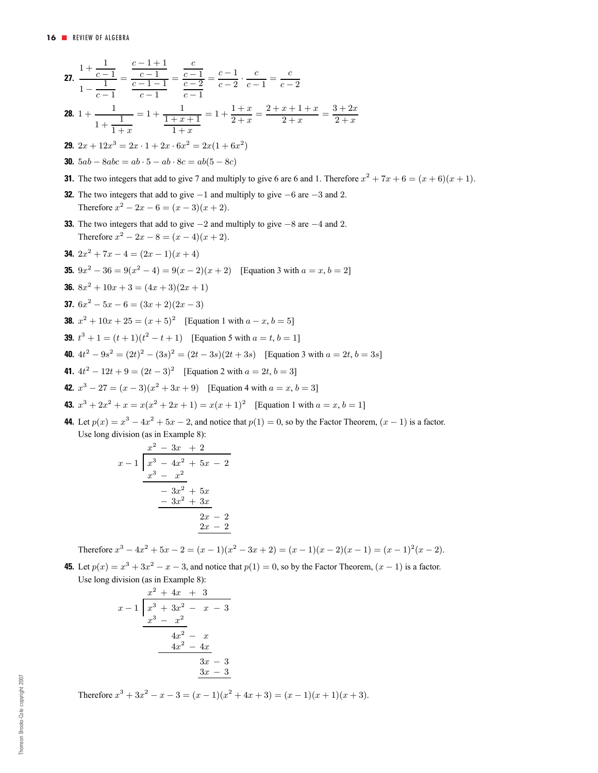27. 
$$
\frac{1+\frac{1}{c-1}}{1-\frac{1}{c-1}} = \frac{\frac{c-1}{c-1-1}}{c-1-1} = \frac{\frac{c}{c-1}}{c-2} = \frac{c-1}{c-2} \cdot \frac{c}{c-1} = \frac{c}{c-2}
$$
\n28. 
$$
1 + \frac{1}{1+x} = 1 + \frac{1}{1+x+1} = 1 + \frac{1+x}{2+x} = \frac{2+x+1+x}{2+x} = \frac{3+2x}{2+x}
$$
\n29. 
$$
2x + 12x^3 = 2x \cdot 1 + 2x \cdot 6x^2 = 2x(1+6x^2)
$$
\n30. 
$$
5ab - 8abc = ab \cdot 5 - ab \cdot 8c = ab(5 - 8c)
$$
\n31. The two integers that add to give 7 and multiply to give 6 are 6 and 1. Therefore 
$$
x^2 + 7x + 6 = (x+6)(x+1)
$$
\n32. The two integers that add to give -1 and multiply to give -6 are -3 and 2. Therefore 
$$
x^2 - 2x - 6 = (x-3)(x+2)
$$
\n33. The two integers that add to give  $-2$  and multiply to give  $-8$  are  $-4$  and 2. Therefore 
$$
x^2 - 2x - 8 = (x-4)(x+2)
$$
\n34. 
$$
2x^2 + 7x - 4 = (2x-1)(x+4)
$$
\n35. 
$$
9x^2 - 36 = 9(x^2 - 4) = 9(x-2)(x+2)
$$
 [Equation 3 with  $a = x, b = 2$ ]\n36. 
$$
8x^2 + 10x + 3 = (4x+3)(2x+1)
$$
\n37. 
$$
6x^2 - 5x - 6 = (3x+2)(2x-3)
$$
\n38. 
$$
x^2 + 10x + 25 = (x+5)^2
$$
 [Equation 1 with  $a - x, b = 5$ ]\n39. 
$$
t^3 + 1 = (t+1)(t^2 - t+1)
$$
 [Equation 5 with  $a = t, b = 1$ ]\n40. 
$$
4t^2 - 9s
$$

**44.** Let  $p(x) = x^3 - 4x^2 + 5x - 2$ , and notice that  $p(1) = 0$ , so by the Factor Theorem,  $(x - 1)$  is a factor. Use long division (as in Example 8):

$$
\begin{array}{r} x^2 - 3x + 2 \\ x - 1 \overline{\smash{\big)}\ x^3 - 4x^2 + 5x - 2} \\ \underline{x^3 - x^2} \\ -3x^2 + 5x \\ \underline{-3x^2 + 3x} \\ 2x - 2 \\ \underline{2x - 2} \end{array}
$$

Therefore  $x^3 - 4x^2 + 5x - 2 = (x - 1)(x^2 - 3x + 2) = (x - 1)(x - 2)(x - 1) = (x - 1)^2(x - 2)$ .

**45.** Let  $p(x) = x^3 + 3x^2 - x - 3$ , and notice that  $p(1) = 0$ , so by the Factor Theorem,  $(x - 1)$  is a factor. Use long division (as in Example 8):

$$
\begin{array}{r} x^2 + 4x + 3 \\ x - 1 \overline{\smash)x^3 + 3x^2 - x - 3} \\ \underline{x^3 - x^2} \\ 4x^2 - x \\ \underline{4x^2 - 4x} \\ 3x - 3 \\ \underline{3x - 3} \\ 3x - 3 \\ \end{array}
$$

Therefore  $x^3 + 3x^2 - x - 3 = (x - 1)(x^2 + 4x + 3) = (x - 1)(x + 1)(x + 3)$ .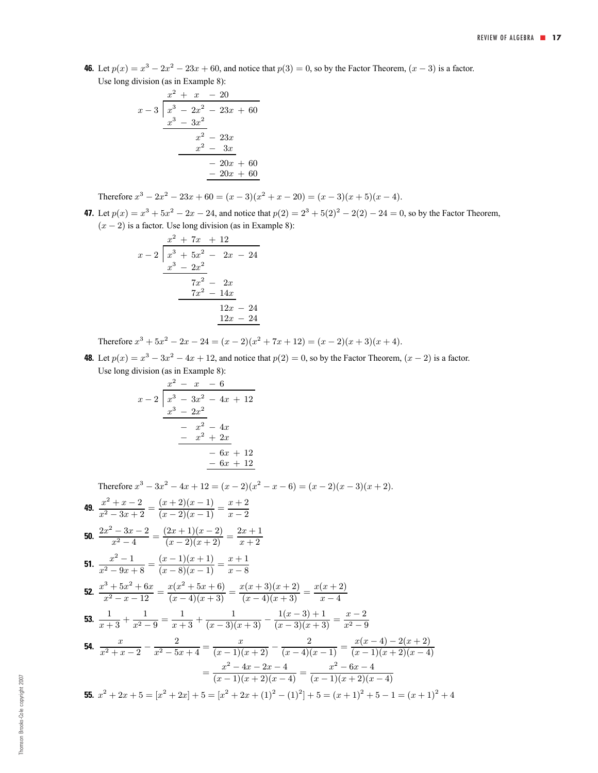**46.** Let  $p(x) = x^3 - 2x^2 - 23x + 60$ , and notice that  $p(3) = 0$ , so by the Factor Theorem,  $(x - 3)$  is a factor. Use long division (as in Example 8):

$$
\begin{array}{r}\nx^2 + x - 20 \\
x - 3 \overline{\smash{\big)}\ x^3 - 2x^2 - 23x + 60} \\
\underline{x^3 - 3x^2} \\
x^2 - 23x \\
\underline{x^2 - 3x} \\
-20x + 60 \\
\underline{-20x + 60}\n\end{array}
$$

Therefore  $x^3 - 2x^2 - 23x + 60 = (x - 3)(x^2 + x - 20) = (x - 3)(x + 5)(x - 4)$ .

**47.** Let  $p(x) = x^3 + 5x^2 - 2x - 24$ , and notice that  $p(2) = 2^3 + 5(2)^2 - 2(2) - 24 = 0$ , so by the Factor Theorem,  $(x - 2)$  is a factor. Use long division (as in Example 8):

$$
\begin{array}{r} x^2 + 7x + 12 \\ x - 2 \overline{\smash{\big)}\ x^3 + 5x^2 - 2x - 24} \\ \underline{x^3 - 2x^2} \\ 7x^2 - 2x \\ \underline{7x^2 - 14x} \\ 12x - 24 \\ \underline{12x - 24} \end{array}
$$

Therefore  $x^3 + 5x^2 - 2x - 24 = (x - 2)(x^2 + 7x + 12) = (x - 2)(x + 3)(x + 4)$ .

**48.** Let  $p(x) = x^3 - 3x^2 - 4x + 12$ , and notice that  $p(2) = 0$ , so by the Factor Theorem,  $(x - 2)$  is a factor. Use long division (as in Example 8):

$$
\begin{array}{r} x^2 - x - 6 \\ x - 2 \overline{\smash{\big)}\ x^3 - 3x^2 - 4x + 12} \\ \underline{x^3 - 2x^2} \\ -x^2 - 4x \\ \underline{-x^2 + 2x} \\ -6x + 12 \\ \underline{-6x + 12} \end{array}
$$

Therefore  $x^3 - 3x^2 - 4x + 12 = (x - 2)(x^2 - x - 6) = (x - 2)(x - 3)(x + 2)$ .

49. 
$$
\frac{x^2 + x - 2}{x^2 - 3x + 2} = \frac{(x+2)(x-1)}{(x-2)(x-1)} = \frac{x+2}{x-2}
$$
  
\n50. 
$$
\frac{2x^2 - 3x - 2}{x^2 - 4} = \frac{(2x+1)(x-2)}{(x-2)(x+2)} = \frac{2x+1}{x+2}
$$
  
\n51. 
$$
\frac{x^2 - 1}{x^2 - 9x + 8} = \frac{(x-1)(x+1)}{(x-8)(x-1)} = \frac{x+1}{x-8}
$$
  
\n52. 
$$
\frac{x^3 + 5x^2 + 6x}{x^2 - x - 12} = \frac{x(x^2 + 5x + 6)}{(x-4)(x+3)} = \frac{x(x+3)(x+2)}{(x-4)(x+3)} = \frac{x(x+2)}{x-4}
$$
  
\n53. 
$$
\frac{1}{x+3} + \frac{1}{x^2 - 9} = \frac{1}{x+3} + \frac{1}{(x-3)(x+3)} - \frac{1(x-3)+1}{(x-3)(x+3)} = \frac{x-2}{x^2 - 9}
$$
  
\n54. 
$$
\frac{x}{x^2 + x - 2} - \frac{2}{x^2 - 5x + 4} = \frac{x}{(x-1)(x+2)} - \frac{2}{(x-4)(x-1)} = \frac{x(x-4) - 2(x+2)}{(x-1)(x+2)(x-4)} = \frac{x^2 - 4x - 2x - 4}{(x-1)(x+2)(x-4)} = \frac{x^2 - 6x - 4}{(x-1)(x+2)(x-4)}
$$
  
\n55. 
$$
x^2 + 2x + 5 = [x^2 + 2x] + 5 = [x^2 + 2x + (1)^2 - (1)^2] + 5 = (x+1)^2 + 5 - 1 = (x+1)^2 + 4
$$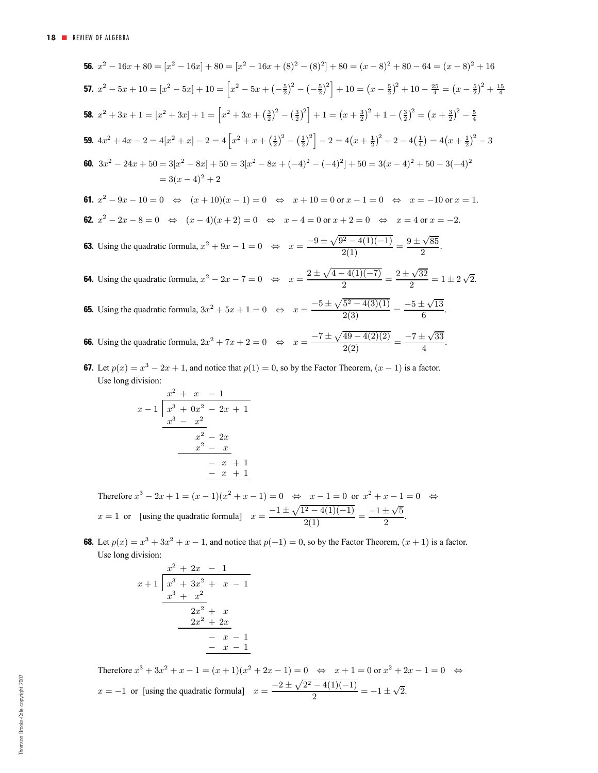**56.** 
$$
x^2 - 16x + 80 = [x^2 - 16x] + 80 = [x^2 - 16x + (8)^2 - (8)^2] + 80 = (x - 8)^2 + 80 - 64 = (x - 8)^2 + 16
$$
  
\n**57.**  $x^2 - 5x + 10 = [x^2 - 5x] + 10 = [x^2 - 5x + (-\frac{5}{2})^2 - (-\frac{5}{2})^2] + 10 = (x - \frac{5}{2})^2 + 10 - \frac{25}{4} = (x - \frac{5}{2})^2 + \frac{15}{4}$   
\n**58.**  $x^2 + 3x + 1 = [x^2 + 3x] + 1 = [x^2 + 3x + (\frac{3}{2})^2 - (\frac{3}{2})^2] + 1 = (x + \frac{3}{2})^2 + 1 - (\frac{3}{2})^2 = (x + \frac{3}{2})^2 - \frac{5}{4}$   
\n**59.**  $4x^2 + 4x - 2 = 4[x^2 + x] - 2 = 4 [x^2 + x + (\frac{1}{2})^2 - (\frac{1}{2})^2] - 2 = 4(x + \frac{1}{2})^2 - 2 - 4(\frac{1}{4}) = 4(x + \frac{1}{2})^2 - 3$   
\n**60.**  $3x^2 - 24x + 50 = 3[x^2 - 8x] + 50 = 3[x^2 - 8x + (-4)^2 - (-4)^2] + 50 = 3(x - 4)^2 + 50 - 3(-4)^2$   
\n $= 3(x - 4)^2 + 2$   
\n**61.**  $x^2 - 9x - 10 = 0 \iff (x + 10)(x - 1) = 0 \iff x + 10 = 0$  or  $x - 1 = 0 \iff x = -10$  or  $x = 1$ .  
\n**62.**  $x^2 - 2x - 8 = 0 \iff (x - 4)(x + 2) = 0 \iff x - 4 = 0$  or  $x + 2 = 0 \iff x = 4$  or  $x = -2$ .  
\n**63.** Using the quadratic formula,  $x^2 + 9x - 1 = 0 \iff x = \frac{-9$ 

**67.** Let  $p(x) = x^3 - 2x + 1$ , and notice that  $p(1) = 0$ , so by the Factor Theorem,  $(x - 1)$  is a factor. Use long division:

$$
\begin{array}{r} x^2 + x - 1 \\ x - 1 \overline{\smash)x^3 + 0x^2 - 2x + 1} \\ \underline{x^3 - x^2} \\ x^2 - 2x \\ \underline{x^2 - x} \\ -x + 1 \\ \underline{-x + 1} \\ -x + 1 \end{array}
$$

Therefore  $x^3 - 2x + 1 = (x - 1)(x^2 + x - 1) = 0 \Leftrightarrow x - 1 = 0$  or  $x^2 + x - 1 = 0 \Leftrightarrow$  $x = 1$  or [using the quadratic formula]  $x = \frac{-1 \pm \sqrt{1^2 - 4(1)(-1)}}{2(1)} = \frac{-1 \pm \sqrt{5}}{2}$ .

**68.** Let  $p(x) = x^3 + 3x^2 + x - 1$ , and notice that  $p(-1) = 0$ , so by the Factor Theorem,  $(x + 1)$  is a factor. Use long division:

$$
\begin{array}{r} x^2 + 2x - 1 \\ x + 1 \overline{\smash)x^3 + 3x^2 + x - 1} \\ \underline{x^3 + x^2} \\ 2x^2 + x \\ \underline{-2x^2 + 2x} \\ -x - 1 \\ \underline{-x - 1} \\ -x - 1 \end{array}
$$

Therefore  $x^3 + 3x^2 + x - 1 = (x + 1)(x^2 + 2x - 1) = 0 \Leftrightarrow x + 1 = 0$  or  $x^2 + 2x - 1 = 0 \Leftrightarrow$  $x = -1$  or [using the quadratic formula]  $x = \frac{-2 \pm \sqrt{2^2 - 4(1)(-1)}}{2} = -1 \pm \sqrt{2}$ .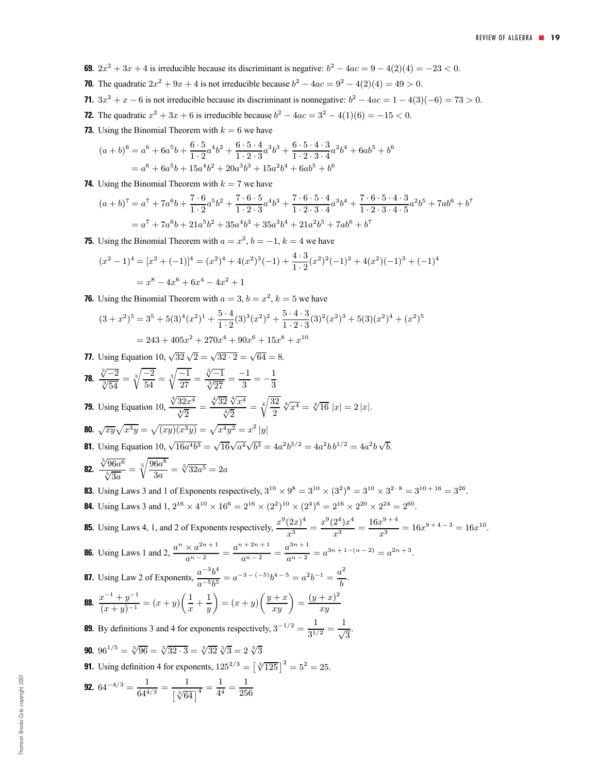- **69.**  $2x^2 + 3x + 4$  is irreducible because its discriminant is negative:  $b^2 4ac = 9 4(2)(4) = -23 < 0$ .
- **70.** The quadratic  $2x^2 + 9x + 4$  is not irreducible because  $b^2 4ac = 9^2 4(2)(4) = 49 > 0$ .
- **71.**  $3x^2 + x 6$  is not irreducible because its discriminant is nonnegative:  $b^2 4ac = 1 4(3)(-6) = 73 > 0$ .
- **72.** The quadratic  $x^2 + 3x + 6$  is irreducible because  $b^2 4ac = 3^2 4(1)(6) = -15 < 0$ .
- **73.** Using the Binomial Theorem with  $k = 6$  we have

$$
(a + b)^6 = a^6 + 6a^5b + \frac{6 \cdot 5}{1 \cdot 2}a^4b^2 + \frac{6 \cdot 5 \cdot 4}{1 \cdot 2 \cdot 3}a^3b^3 + \frac{6 \cdot 5 \cdot 4 \cdot 3}{1 \cdot 2 \cdot 3 \cdot 4}a^2b^4 + 6ab^5 + b^6
$$
  
=  $a^6 + 6a^5b + 15a^4b^2 + 20a^3b^3 + 15a^2b^4 + 6ab^5 + b^6$ 

**74.** Using the Binomial Theorem with  $k = 7$  we have

$$
(a+b)^7 = a^7 + 7a^6b + \frac{7 \cdot 6}{1 \cdot 2}a^5b^2 + \frac{7 \cdot 6 \cdot 5}{1 \cdot 2 \cdot 3}a^4b^3 + \frac{7 \cdot 6 \cdot 5 \cdot 4}{1 \cdot 2 \cdot 3 \cdot 4}a^3b^4 + \frac{7 \cdot 6 \cdot 5 \cdot 4 \cdot 3}{1 \cdot 2 \cdot 3 \cdot 4 \cdot 5}a^2b^5 + 7ab^6 + b^7
$$
  
=  $a^7 + 7a^6b + 21a^5b^2 + 35a^4b^3 + 35a^3b^4 + 21a^2b^5 + 7ab^6 + b^7$ 

**75.** Using the Binomial Theorem with  $a = x^2$ ,  $b = -1$ ,  $k = 4$  we have

$$
(x^{2} - 1)^{4} = [x^{2} + (-1)]^{4} = (x^{2})^{4} + 4(x^{2})^{3}(-1) + \frac{4 \cdot 3}{1 \cdot 2}(x^{2})^{2}(-1)^{2} + 4(x^{2})(-1)^{3} + (-1)^{4}
$$

$$
= x^{8} - 4x^{6} + 6x^{4} - 4x^{2} + 1
$$

**76.** Using the Binomial Theorem with  $a = 3$ ,  $b = x^2$ ,  $k = 5$  we have

$$
(3+x^2)^5 = 3^5 + 5(3)^4(x^2)^1 + \frac{5 \cdot 4}{1 \cdot 2}(3)^3(x^2)^2 + \frac{5 \cdot 4 \cdot 3}{1 \cdot 2 \cdot 3}(3)^2(x^2)^3 + 5(3)(x^2)^4 + (x^2)^5
$$
  
= 243 + 405x^2 + 270x^4 + 90x^6 + 15x^8 + x^{10}

**77.** Using Equation 10,  $\sqrt{32}\sqrt{2} = \sqrt{32 \cdot 2} = \sqrt{64} = 8$ .

78. 
$$
\frac{\sqrt[3]{-2}}{\sqrt[3]{54}} = \sqrt[3]{\frac{-2}{54}} = \sqrt[3]{\frac{-1}{27}} = \frac{\sqrt[3]{-1}}{\sqrt[3]{27}} = \frac{-1}{3} = -\frac{1}{3}
$$
  
\n79. Using Equation 10,  $\frac{\sqrt[4]{32x^4}}{\sqrt[4]{2}} = \frac{\sqrt[4]{32}}{\sqrt[4]{2}} = \sqrt[4]{\frac{32}{2}} \sqrt[4]{x^4} = \sqrt[4]{16} |x| = 2 |x|$ .  
\n80.  $\sqrt{xy} \sqrt{x^3y} = \sqrt{(xy)(x^3y)} = \sqrt{x^4y^2} = x^2 |y|$   
\n81. Using Equation 10,  $\sqrt{16a^4b^3} = \sqrt{16}\sqrt{a^4}\sqrt{b^3} = 4a^2b^{3/2} = 4a^2b^{1/2} = 4a^2b\sqrt{b}$ .  
\n82.  $\frac{\sqrt[5]{96a^6}}{\sqrt[5]{3a}} = \sqrt[6]{\frac{96a^6}{3a}} = \sqrt[5]{32a^5} = 2a$   
\n83. Using Laws 3 and 1 of Exponents respectively,  $3^{10} \times 9^8 = 3^{10} \times (3^2)^8 = 3^{10} \times 3^{2 \cdot 8} = 3^{10 + 16} = 3^{26}$ .  
\n84. Using Laws 3 and 1,  $2^{16} \times 4^{10} \times 16^6 = 2^{16} \times (2^2)^{10} \times (2^4)^6 = 2^{16} \times 2^{20} \times 2^{24} = 2^{60}$ .  
\n85. Using Laws 4, 1, and 2 of Exponents respectively,  $\frac{x^9(2x)^4}{x^3} = \frac{x^9(2^4)x^4}{x^3} = \frac{16x^{9+4}}{x^3} = 16x^{9+4-3} = 16x^{10}$ .  
\n86. Using Laws 1 and 2,  $\frac{a^n \times a^{2n+1}}{a^n - 2} = \frac{a^{n+2n+1}}{a^n - 2} = \frac{a^{3n+1}}{a^{n-2}} = a^{3n+1-(n-2)} = a^{2n+3}$ .<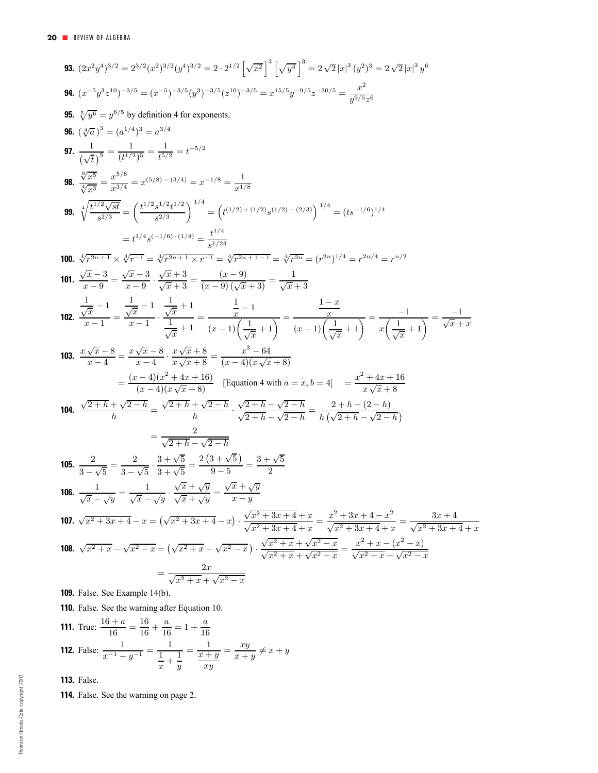93. 
$$
(2x^2y^4)^{3/2} = 2^{3/2}(x^2)^{3/2}(y^4)^{3/2} = 2 \cdot 2^{1/2} \left[\sqrt{x^2}\right]^3 \left[\sqrt{y^4}\right]^3 = 2 \sqrt{2}|x|^3(y^3)^3 = 2 \sqrt{2}|x|^3y^5
$$
  
\n94.  $(x^{-5}y^3z^{10})^{-3/5} = (x^{-5})^{-3/5}(y^3)^{-3/5}(z^{10})^{-3/5} = x^{15/5}y^{-9/5}z^{-30/5} = \frac{x^2}{y^{9/5}z^6}$   
\n95.  $\sqrt[3]{y^6} = y^{6/5}$  by definition 4 for exponents.  
\n96.  $(\sqrt[3]{a})^3 = (a^{1/4})^3 = a^{3/4}$   
\n97.  $\frac{1}{(\sqrt{t})^5} = \frac{1}{(t^{1/2})^5} = \frac{1}{t^{5/2}} = t^{-5/2}$   
\n98.  $\frac{\sqrt[3]{x^5}}{\sqrt[3]{x^3}} = \frac{x^{6/8}}{x^{9/4}} = x^{6/8} = x^{6/8} - (3/4) = x^{-1/8} = \frac{1}{x^{1/8}}$   
\n99.  $\sqrt[4]{\frac{l^{1/2}\sqrt{sf}}{\sqrt{sd}}} = \left(\frac{t^{1/2}s^{1/2}t^{1/2}}{s^{2/3}}\right)^{1/4} = \left(t^{1/2}y + (1/2) s^{(1/2)} - (2/3)\right)^{1/4} = (ts^{-1/6})^{1/4}$   
\n $= t^{1/4}s^{(-1/6)} \cdot (1/4) = \frac{t^{1/4}}{s^{1/24}}$   
\n100.  $\sqrt[3]{r^{2n+1}} \times \sqrt[3]{r^{-1}} = \sqrt[3]{r^{2n+1} \times r^{-1}} = \sqrt[3]{r^{2n+1-1}} = \sqrt[3]{r^{2n+1-1}} = \sqrt[3]{r^{2n+1}} = (r^{2n})^{1/4} = r^{2n/4} = r^{n/2}$   
\n101.  $\frac{x}{x-9} = \frac{x}{x-9} = \frac{x}{x-9} \cdot \frac{x}{\sqrt{x}+3} = \frac{(x-$ 

**110.** False. See the warning after Equation 10.

**111.** True: 
$$
\frac{16+a}{16} = \frac{16}{16} + \frac{a}{16} = 1 + \frac{a}{16}
$$
  
**112.** False:  $\frac{1}{x^{-1} + y^{-1}} = \frac{1}{\frac{1}{x} + \frac{1}{y}} = \frac{1}{\frac{x+y}{xy}} = \frac{xy}{x+y} \neq x+y$ 

**113.** False.

**114.** False. See the warning on page 2.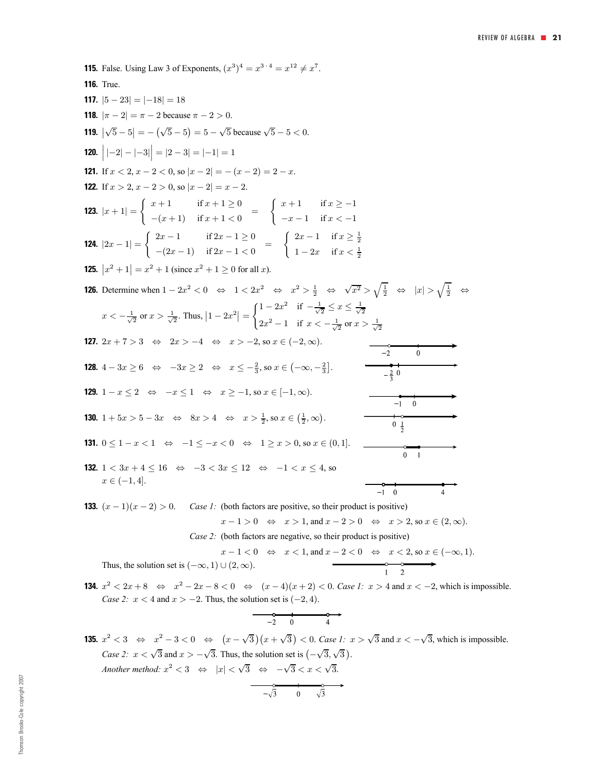**115.** False. Using Law 3 of Exponents,  $(x^3)^4 = x^{3 \cdot 4} = x^{12} \neq x^7$ . **116.** True. **117.**  $|5 - 23| = |-18| = 18$ **118.**  $|\pi - 2| = \pi - 2$  because  $\pi - 2 > 0$ . **119.**  $|\sqrt{5} - 5| = -(\sqrt{5} - 5) = 5 - \sqrt{5}$  because  $\sqrt{5} - 5 < 0$ . **120.**  $\Big| |-2| - |-3| \Big| = |2 - 3| = |-1| = 1$ **121.** If  $x < 2$ ,  $x - 2 < 0$ , so  $|x - 2| = -(x - 2) = 2 - x$ . **122.** If  $x > 2$ ,  $x - 2 > 0$ , so  $|x - 2| = x - 2$ . **123.**  $|x+1| = \begin{cases} x+1 & \text{if } x+1 \geq 0 \\ -(x+1) & \text{if } x+1 \geq 0 \end{cases}$  $\int x + 1$  if  $x \ge -1$  $-(x+1)$  if  $x+1<0$  =  $-x-1$  if  $x < -1$ **124.**  $|2x - 1| = \begin{cases} 2x - 1 & \text{if } 2x - 1 \ge 0 \\ (2x - 1) & \text{if } 2x - 1 \ge 0 \end{cases}$  $\int 2x - 1$  if  $x \ge \frac{1}{2}$  $-(2x-1)$  if  $2x-1<0$  =  $1 - 2x$  if  $x < \frac{1}{2}$ **125.**  $|x^2 + 1| = x^2 + 1$  (since  $x^2 + 1 \ge 0$  for all x). **126.** Determine when  $1 - 2x^2 < 0 \Leftrightarrow 1 < 2x^2 \Leftrightarrow x^2 > \frac{1}{2} \Leftrightarrow \sqrt{x^2} > \sqrt{\frac{1}{2}} \Leftrightarrow |x| > \sqrt{\frac{1}{2}} \Leftrightarrow$  $\int 1 - 2x^2$  if  $-\frac{1}{\sqrt{2}} \leq x \leq \frac{1}{\sqrt{2}}$  $x < -\frac{1}{\sqrt{2}}$  or  $x > \frac{1}{\sqrt{2}}$ . Thus,  $|1 - 2x^2|$  =  $2x^2 - 1$  if  $x < -\frac{1}{\sqrt{2}}$  or  $x > \frac{1}{\sqrt{2}}$ **127.**  $2x + 7 > 3 \Leftrightarrow 2x > -4 \Leftrightarrow x > -2$ , so  $x \in (-2, \infty)$ .  $\ddot{0}$ **128.**  $4 - 3x \ge 6 \Leftrightarrow -3x \ge 2 \Leftrightarrow x \le -\frac{2}{3}$ , so  $x \in (-\infty, -\frac{2}{3}]$ . **129.**  $1 - x \le 2 \iff -x \le 1 \iff x \ge -1$ , so  $x \in [-1, \infty)$ .  $\overline{0}$  $-1$ **130.**  $1 + 5x > 5 - 3x \Leftrightarrow 8x > 4 \Leftrightarrow x > \frac{1}{2}$ , so  $x \in (\frac{1}{2}, \infty)$ .  $0 \frac{1}{2}$ **131.**  $0 \leq 1 - x \leq 1 \Leftrightarrow -1 \leq -x \leq 0 \Leftrightarrow 1 \geq x \geq 0$ , so  $x \in (0, 1]$ .  $\overline{0}$  $\overline{1}$ **132.**  $1 < 3x + 4 \le 16 \Leftrightarrow -3 < 3x \le 12 \Leftrightarrow -1 < x \le 4$ , so  $x \in (-1, 4]$ .  $-1$  $\overline{0}$  $\overline{A}$ 

**133.**  $(x - 1)(x - 2) > 0$ . *Case 1:* (both factors are positive, so their product is positive)

$$
x - 1 > 0 \Leftrightarrow x > 1, \text{ and } x - 2 > 0 \Leftrightarrow x > 2, \text{ so } x \in (2, \infty).
$$

*Case 2:* (both factors are negative, so their product is positive)

$$
x - 1 < 0 \quad \Leftrightarrow \quad x < 1 \text{, and } x - 2 < 0 \quad \Leftrightarrow \quad x < 2 \text{, so } x \in (-\infty, 1).
$$
\nThus, the solution set is  $(-\infty, 1) \cup (2, \infty)$ .

**134.**  $x^2 < 2x + 8 \Leftrightarrow x^2 - 2x - 8 < 0 \Leftrightarrow (x - 4)(x + 2) < 0$ . *Case 1:*  $x > 4$  and  $x < -2$ , which is impossible. *Case 2:*  $x < 4$  and  $x > -2$ . Thus, the solution set is  $(-2, 4)$ .

$$
\begin{array}{c}\n\bullet \\
-2 \quad 0 \\
\end{array}\n\qquad \qquad\n\begin{array}{c}\n\bullet \\
4\n\end{array}
$$

**135.**  $x^2 < 3$  ⇔  $x^2 - 3 < 0$  ⇔  $(x - \sqrt{3})(x + \sqrt{3}) < 0$ . *Case 1:*  $x > \sqrt{3}$  and  $x < -\sqrt{3}$ , which is impossible. *Case 2:*  $x < \sqrt{3}$  and  $x > -\sqrt{3}$ . Thus, the solution set is  $(-\sqrt{3}, \sqrt{3})$ . *Another method:*  $x^2 < 3 \Leftrightarrow |x| < \sqrt{3} \Leftrightarrow -\sqrt{3} < x < \sqrt{3}$ .

$$
-\sqrt{3} \qquad 0 \qquad \sqrt{3}
$$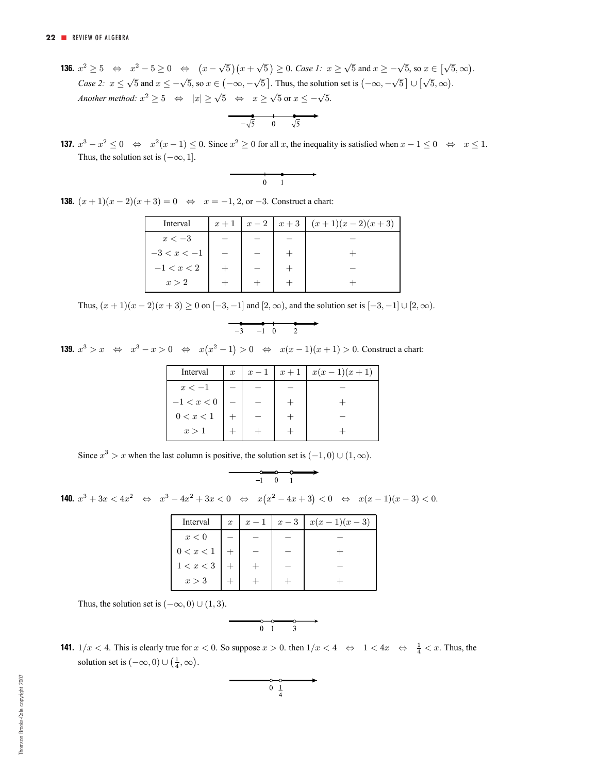**136.**  $x^2 \ge 5 \Leftrightarrow x^2 - 5 \ge 0 \Leftrightarrow (x - \sqrt{5})(x + \sqrt{5}) \ge 0$ . *Case 1:*  $x \ge \sqrt{5}$  and  $x \ge -\sqrt{5}$ , so  $x \in [\sqrt{5}, \infty)$ . *Case 2:*  $x \le \sqrt{5}$  and  $x \le -\sqrt{5}$ , so  $x \in (-\infty, -\sqrt{5}]$ . Thus, the solution set is  $(-\infty, -\sqrt{5}] \cup [\sqrt{5}, \infty)$ . *Another method:*  $x^2 \ge 5 \Leftrightarrow |x| \ge \sqrt{5} \Leftrightarrow x \ge \sqrt{5}$  or  $x \le -\sqrt{5}$ .

$$
\overrightarrow{-\sqrt{5}} \quad 0 \quad \sqrt{5}
$$

**137.**  $x^3 - x^2 \le 0 \Leftrightarrow x^2(x-1) \le 0$ . Since  $x^2 \ge 0$  for all x, the inequality is satisfied when  $x - 1 \le 0 \Leftrightarrow x \le 1$ . Thus, the solution set is  $(-\infty, 1]$ .

$$
\begin{array}{c}\n \cdot \\
 \hline\n 0 \quad 1\n \end{array}
$$

**138.**  $(x + 1)(x - 2)(x + 3) = 0 \Leftrightarrow x = -1, 2,$  or  $-3$ . Construct a chart:

| Interval      | $x+1$ | $x-2$ | $x+3$ | $(x+1)(x-2)(x+3)$ |
|---------------|-------|-------|-------|-------------------|
| $x < -3$      |       |       |       |                   |
| $-3 < x < -1$ |       |       |       |                   |
| $-1 < x < 2$  |       |       |       |                   |
| x > 2         |       |       |       |                   |

Thus,  $(x + 1)(x - 2)(x + 3) \ge 0$  on  $[-3, -1]$  and  $[2, \infty)$ , and the solution set is  $[-3, -1] \cup [2, \infty)$ .

$$
\begin{array}{cccc}\n-3 & -1 & 0 & 2\n\end{array}
$$

**139.**  $x^3 > x \Leftrightarrow x^3 - x > 0 \Leftrightarrow x(x^2 - 1) > 0 \Leftrightarrow x(x - 1)(x + 1) > 0$ . Construct a chart:

| Interval     | $\boldsymbol{x}$ | $x-1$ | $x+1$ | $x(x-1)(x+1)$ |
|--------------|------------------|-------|-------|---------------|
| $x<-1$       |                  |       |       |               |
| $-1 < x < 0$ |                  |       |       |               |
| 0 < x < 1    |                  |       |       |               |
| x > 1        |                  |       |       |               |

Since  $x^3 > x$  when the last column is positive, the solution set is  $(-1, 0) \cup (1, \infty)$ .

$$
\begin{array}{c}\n \bullet \bullet \bullet \bullet \\
 \hline\n -1 \quad 0 \quad 1\n\end{array}
$$

**140.**  $x^3 + 3x < 4x^2$  ⇔  $x^3 - 4x^2 + 3x < 0$  ⇔  $x(x^2 - 4x + 3) < 0$  ⇔  $x(x - 1)(x - 3) < 0$ .

| Interval  | $\boldsymbol{x}$ | $x-1$ | $x-3$ | $x(x-1)(x-3)$ |
|-----------|------------------|-------|-------|---------------|
| x<0       |                  |       |       |               |
| 0 < x < 1 |                  |       |       |               |
| 1 < x < 3 |                  |       |       |               |
| x > 3     |                  |       |       |               |

Thus, the solution set is  $(-\infty, 0) \cup (1, 3)$ .

$$
\begin{array}{c}\n\circ \\
\circ \\
0 & 1\n\end{array}
$$

**141.**  $1/x < 4$ . This is clearly true for  $x < 0$ . So suppose  $x > 0$ . then  $1/x < 4 \Leftrightarrow 1 < 4x \Leftrightarrow \frac{1}{4} < x$ . Thus, the solution set is  $(-\infty, 0) \cup (\frac{1}{4}, \infty)$ .